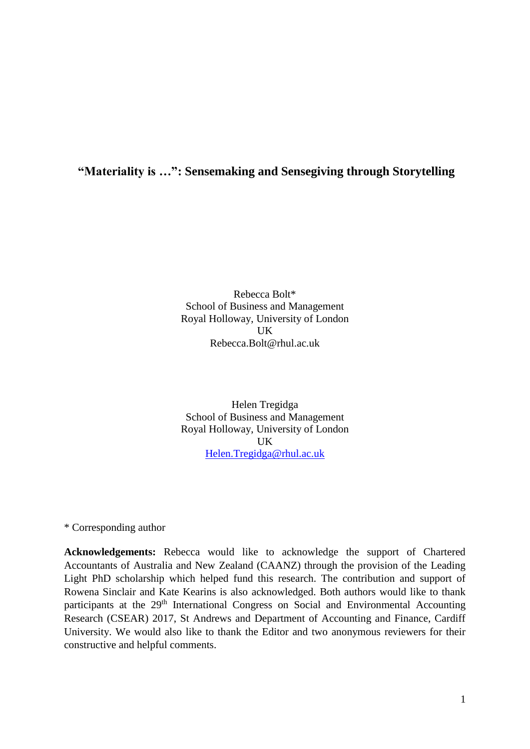**"Materiality is …": Sensemaking and Sensegiving through Storytelling**

Rebecca Bolt\* School of Business and Management Royal Holloway, University of London UK Rebecca.Bolt@rhul.ac.uk

Helen Tregidga School of Business and Management Royal Holloway, University of London UK [Helen.Tregidga@rhul.ac.uk](mailto:Helen.Tregidga@rhul.ac.uk)

\* Corresponding author

**Acknowledgements:** Rebecca would like to acknowledge the support of Chartered Accountants of Australia and New Zealand (CAANZ) through the provision of the Leading Light PhD scholarship which helped fund this research. The contribution and support of Rowena Sinclair and Kate Kearins is also acknowledged. Both authors would like to thank participants at the 29<sup>th</sup> International Congress on Social and Environmental Accounting Research (CSEAR) 2017, St Andrews and Department of Accounting and Finance, Cardiff University. We would also like to thank the Editor and two anonymous reviewers for their constructive and helpful comments.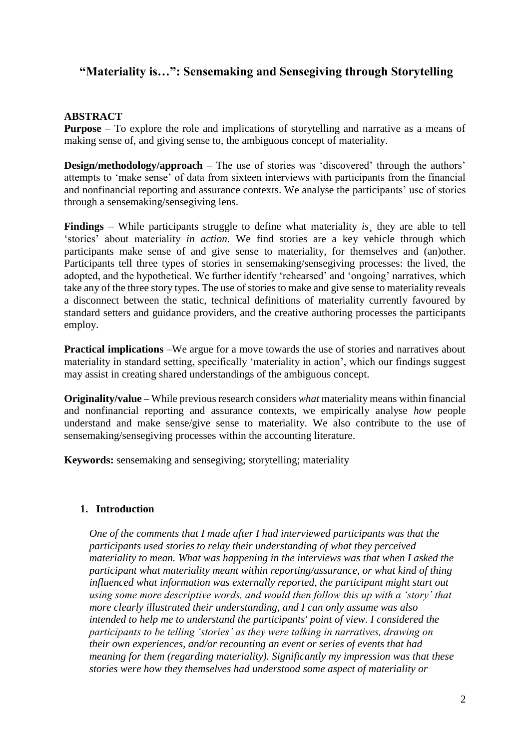# **"Materiality is…": Sensemaking and Sensegiving through Storytelling**

# **ABSTRACT**

**Purpose** – To explore the role and implications of storytelling and narrative as a means of making sense of, and giving sense to, the ambiguous concept of materiality.

**Design/methodology/approach** – The use of stories was 'discovered' through the authors' attempts to 'make sense' of data from sixteen interviews with participants from the financial and nonfinancial reporting and assurance contexts. We analyse the participants' use of stories through a sensemaking/sensegiving lens.

**Findings** – While participants struggle to define what materiality *is¸* they are able to tell 'stories' about materiality *in action*. We find stories are a key vehicle through which participants make sense of and give sense to materiality, for themselves and (an)other. Participants tell three types of stories in sensemaking/sensegiving processes: the lived, the adopted, and the hypothetical. We further identify 'rehearsed' and 'ongoing' narratives, which take any of the three story types. The use of stories to make and give sense to materiality reveals a disconnect between the static, technical definitions of materiality currently favoured by standard setters and guidance providers, and the creative authoring processes the participants employ.

**Practical implications** –We argue for a move towards the use of stories and narratives about materiality in standard setting, specifically 'materiality in action', which our findings suggest may assist in creating shared understandings of the ambiguous concept.

**Originality/value –** While previous research considers *what* materiality means within financial and nonfinancial reporting and assurance contexts, we empirically analyse *how* people understand and make sense/give sense to materiality. We also contribute to the use of sensemaking/sensegiving processes within the accounting literature.

**Keywords:** sensemaking and sensegiving; storytelling; materiality

### **1. Introduction**

*One of the comments that I made after I had interviewed participants was that the participants used stories to relay their understanding of what they perceived materiality to mean. What was happening in the interviews was that when I asked the participant what materiality meant within reporting/assurance, or what kind of thing influenced what information was externally reported, the participant might start out using some more descriptive words, and would then follow this up with a 'story' that more clearly illustrated their understanding, and I can only assume was also intended to help me to understand the participants' point of view. I considered the participants to be telling 'stories' as they were talking in narratives, drawing on their own experiences, and/or recounting an event or series of events that had meaning for them (regarding materiality). Significantly my impression was that these stories were how they themselves had understood some aspect of materiality or*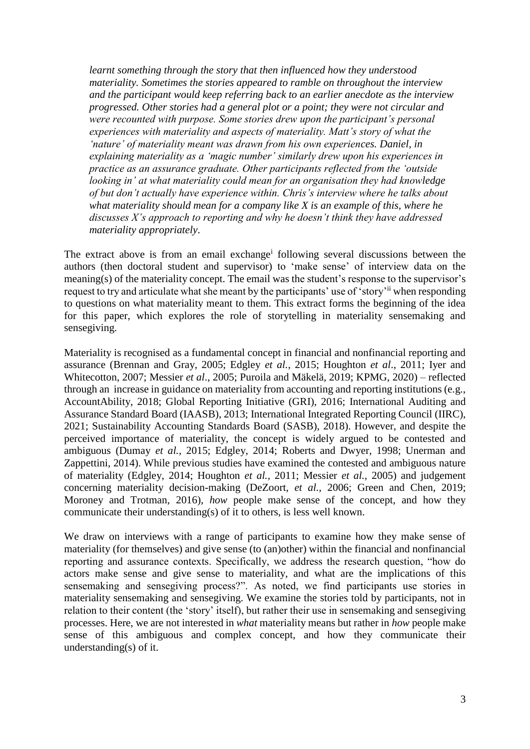*learnt something through the story that then influenced how they understood materiality. Sometimes the stories appeared to ramble on throughout the interview and the participant would keep referring back to an earlier anecdote as the interview progressed. Other stories had a general plot or a point; they were not circular and were recounted with purpose. Some stories drew upon the participant's personal experiences with materiality and aspects of materiality. Matt's story of what the 'nature' of materiality meant was drawn from his own experiences. Daniel, in explaining materiality as a 'magic number' similarly drew upon his experiences in practice as an assurance graduate. Other participants reflected from the 'outside looking in' at what materiality could mean for an organisation they had knowledge of but don't actually have experience within. Chris's interview where he talks about what materiality should mean for a company like X is an example of this, where he discusses X's approach to reporting and why he doesn't think they have addressed materiality appropriately*.

The extract above is from an email exchange<sup>i</sup> following several discussions between the authors (then doctoral student and supervisor) to 'make sense' of interview data on the meaning(s) of the materiality concept. The email was the student's response to the supervisor's request to try and articulate what she meant by the participants' use of 'story'ii when responding to questions on what materiality meant to them. This extract forms the beginning of the idea for this paper, which explores the role of storytelling in materiality sensemaking and sensegiving.

Materiality is recognised as a fundamental concept in financial and nonfinancial reporting and assurance (Brennan and Gray, 2005; Edgley *et al.*, 2015; Houghton *et al*., 2011; Iyer and Whitecotton, 2007; Messier *et al*., 2005; Puroila and Mäkelä, 2019; KPMG, 2020) – reflected through an increase in guidance on materiality from accounting and reporting institutions (e.g., AccountAbility, 2018; Global Reporting Initiative (GRI), 2016; International Auditing and Assurance Standard Board (IAASB), 2013; International Integrated Reporting Council (IIRC), 2021; Sustainability Accounting Standards Board (SASB), 2018). However, and despite the perceived importance of materiality, the concept is widely argued to be contested and ambiguous (Dumay *et al.,* 2015; Edgley, 2014; Roberts and Dwyer, 1998; Unerman and Zappettini, 2014). While previous studies have examined the contested and ambiguous nature of materiality (Edgley, 2014; Houghton *et al.,* 2011; Messier *et al.,* 2005) and judgement concerning materiality decision-making (DeZoort, *et al.,* 2006; Green and Chen, 2019; Moroney and Trotman, 2016), *how* people make sense of the concept, and how they communicate their understanding(s) of it to others, is less well known.

We draw on interviews with a range of participants to examine how they make sense of materiality (for themselves) and give sense (to (an)other) within the financial and nonfinancial reporting and assurance contexts. Specifically, we address the research question, "how do actors make sense and give sense to materiality, and what are the implications of this sensemaking and sensegiving process?". As noted, we find participants use stories in materiality sensemaking and sensegiving. We examine the stories told by participants, not in relation to their content (the 'story' itself), but rather their use in sensemaking and sensegiving processes. Here, we are not interested in *what* materiality means but rather in *how* people make sense of this ambiguous and complex concept, and how they communicate their understanding(s) of it.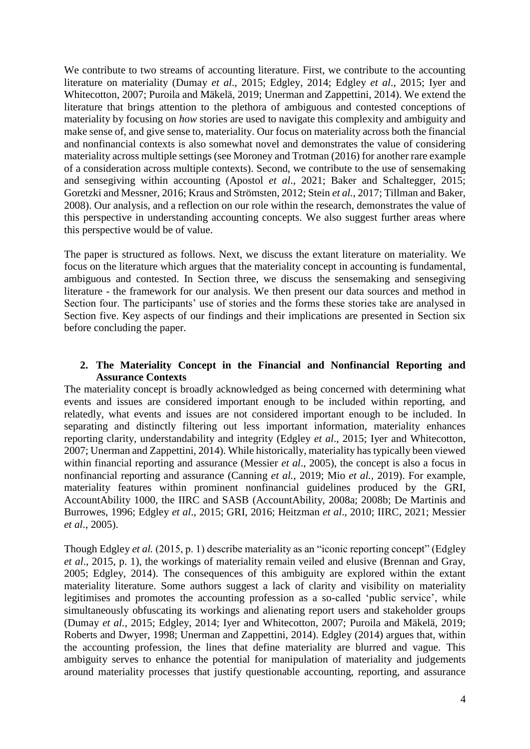We contribute to two streams of accounting literature. First, we contribute to the accounting literature on materiality (Dumay *et al*., 2015; Edgley, 2014; Edgley *et al*., 2015; Iyer and Whitecotton, 2007; Puroila and Mäkelä, 2019; Unerman and Zappettini, 2014). We extend the literature that brings attention to the plethora of ambiguous and contested conceptions of materiality by focusing on *how* stories are used to navigate this complexity and ambiguity and make sense of, and give sense to, materiality. Our focus on materiality across both the financial and nonfinancial contexts is also somewhat novel and demonstrates the value of considering materiality across multiple settings (see Moroney and Trotman (2016) for another rare example of a consideration across multiple contexts). Second, we contribute to the use of sensemaking and sensegiving within accounting (Apostol *et al*., 2021; Baker and Schaltegger, 2015; Goretzki and Messner, 2016; Kraus and Strömsten, 2012; Stein *et al.*, 2017; Tillman and Baker, 2008). Our analysis, and a reflection on our role within the research, demonstrates the value of this perspective in understanding accounting concepts. We also suggest further areas where this perspective would be of value.

The paper is structured as follows. Next, we discuss the extant literature on materiality. We focus on the literature which argues that the materiality concept in accounting is fundamental, ambiguous and contested. In Section three, we discuss the sensemaking and sensegiving literature - the framework for our analysis. We then present our data sources and method in Section four. The participants' use of stories and the forms these stories take are analysed in Section five. Key aspects of our findings and their implications are presented in Section six before concluding the paper.

## **2. The Materiality Concept in the Financial and Nonfinancial Reporting and Assurance Contexts**

The materiality concept is broadly acknowledged as being concerned with determining what events and issues are considered important enough to be included within reporting, and relatedly, what events and issues are not considered important enough to be included. In separating and distinctly filtering out less important information, materiality enhances reporting clarity, understandability and integrity (Edgley *et al*., 2015; Iyer and Whitecotton, 2007; Unerman and Zappettini, 2014). While historically, materiality has typically been viewed within financial reporting and assurance (Messier *et al*., 2005), the concept is also a focus in nonfinancial reporting and assurance (Canning *et al.,* 2019; Mio *et al.,* 2019). For example, materiality features within prominent nonfinancial guidelines produced by the GRI, AccountAbility 1000, the IIRC and SASB (AccountAbility, 2008a; 2008b; De Martinis and Burrowes, 1996; Edgley *et al*., 2015; GRI, 2016; Heitzman *et al*., 2010; IIRC, 2021; Messier *et al*., 2005).

Though Edgley *et al.* (2015, p. 1) describe materiality as an "iconic reporting concept" (Edgley *et al*., 2015, p. 1), the workings of materiality remain veiled and elusive (Brennan and Gray, 2005; Edgley, 2014). The consequences of this ambiguity are explored within the extant materiality literature. Some authors suggest a lack of clarity and visibility on materiality legitimises and promotes the accounting profession as a so-called 'public service', while simultaneously obfuscating its workings and alienating report users and stakeholder groups (Dumay *et al.*, 2015; Edgley, 2014; Iyer and Whitecotton, 2007; Puroila and Mäkelä, 2019; Roberts and Dwyer, 1998; Unerman and Zappettini, 2014). Edgley (2014) argues that, within the accounting profession, the lines that define materiality are blurred and vague. This ambiguity serves to enhance the potential for manipulation of materiality and judgements around materiality processes that justify questionable accounting, reporting, and assurance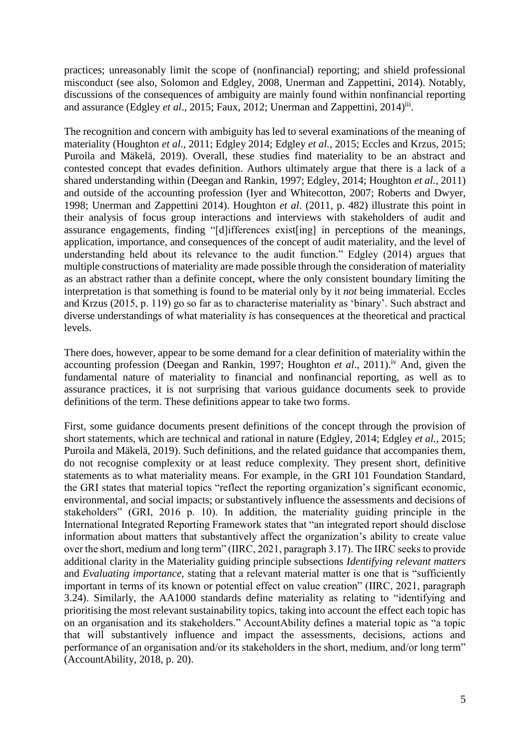practices; unreasonably limit the scope of (nonfinancial) reporting; and shield professional misconduct (see also, Solomon and Edgley, 2008, Unerman and Zappettini, 2014). Notably, discussions of the consequences of ambiguity are mainly found within nonfinancial reporting and assurance (Edgley et al., 2015; Faux, 2012; Unerman and Zappettini, 2014)<sup>iii</sup>.

The recognition and concern with ambiguity has led to several examinations of the meaning of materiality (Houghton *et al*., 2011; Edgley 2014; Edgley *et al.*, 2015; Eccles and Krzus, 2015; Puroila and Mäkelä, 2019). Overall, these studies find materiality to be an abstract and contested concept that evades definition. Authors ultimately argue that there is a lack of a shared understanding within (Deegan and Rankin, 1997; Edgley, 2014; Houghton *et al.,* 2011) and outside of the accounting profession (Iyer and Whitecotton, 2007; Roberts and Dwyer, 1998; Unerman and Zappettini 2014). Houghton *et al*. (2011, p. 482) illustrate this point in their analysis of focus group interactions and interviews with stakeholders of audit and assurance engagements, finding "[d]ifferences exist[ing] in perceptions of the meanings, application, importance, and consequences of the concept of audit materiality, and the level of understanding held about its relevance to the audit function." Edgley (2014) argues that multiple constructions of materiality are made possible through the consideration of materiality as an abstract rather than a definite concept, where the only consistent boundary limiting the interpretation is that something is found to be material only by it *not* being immaterial. Eccles and Krzus (2015, p. 119) go so far as to characterise materiality as 'binary'. Such abstract and diverse understandings of what materiality *is* has consequences at the theoretical and practical levels.

There does, however, appear to be some demand for a clear definition of materiality within the accounting profession (Deegan and Rankin, 1997; Houghton *et al.*, 2011).<sup>iv</sup> And, given the fundamental nature of materiality to financial and nonfinancial reporting, as well as to assurance practices, it is not surprising that various guidance documents seek to provide definitions of the term. These definitions appear to take two forms.

First, some guidance documents present definitions of the concept through the provision of short statements, which are technical and rational in nature (Edgley, 2014; Edgley *et al.*, 2015; Puroila and Mäkelä, 2019). Such definitions, and the related guidance that accompanies them, do not recognise complexity or at least reduce complexity. They present short, definitive statements as to what materiality means. For example, in the GRI 101 Foundation Standard, the GRI states that material topics "reflect the reporting organization's significant economic, environmental, and social impacts; or substantively influence the assessments and decisions of stakeholders" (GRI, 2016 p. 10). In addition, the materiality guiding principle in the International Integrated Reporting Framework states that "an integrated report should disclose information about matters that substantively affect the organization's ability to create value over the short, medium and long term" (IIRC, 2021, paragraph 3.17). The IIRC seeks to provide additional clarity in the Materiality guiding principle subsections *Identifying relevant matters* and *Evaluating importance,* stating that a relevant material matter is one that is "sufficiently important in terms of its known or potential effect on value creation" (IIRC, 2021, paragraph 3.24). Similarly, the AA1000 standards define materiality as relating to "identifying and prioritising the most relevant sustainability topics, taking into account the effect each topic has on an organisation and its stakeholders." AccountAbility defines a material topic as "a topic that will substantively influence and impact the assessments, decisions, actions and performance of an organisation and/or its stakeholders in the short, medium, and/or long term" (AccountAbility, 2018, p. 20).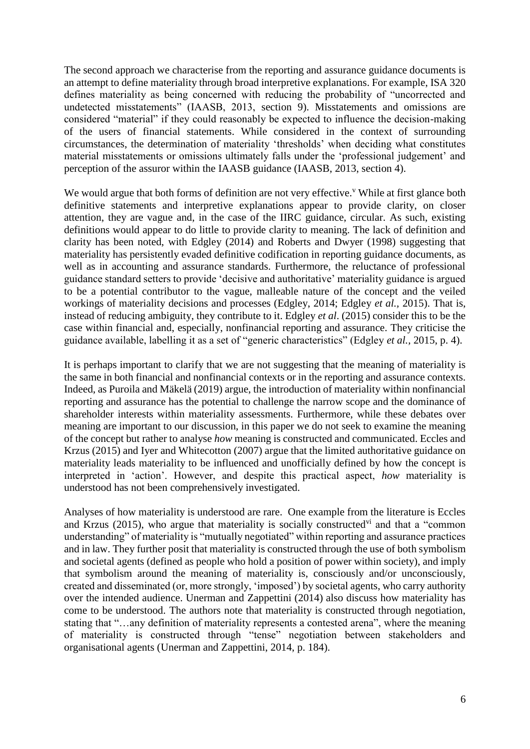The second approach we characterise from the reporting and assurance guidance documents is an attempt to define materiality through broad interpretive explanations. For example, ISA 320 defines materiality as being concerned with reducing the probability of "uncorrected and undetected misstatements" (IAASB, 2013, section 9). Misstatements and omissions are considered "material" if they could reasonably be expected to influence the decision-making of the users of financial statements. While considered in the context of surrounding circumstances, the determination of materiality 'thresholds' when deciding what constitutes material misstatements or omissions ultimately falls under the 'professional judgement' and perception of the assuror within the IAASB guidance (IAASB, 2013, section 4).

We would argue that both forms of definition are not very effective. While at first glance both definitive statements and interpretive explanations appear to provide clarity, on closer attention, they are vague and, in the case of the IIRC guidance, circular. As such, existing definitions would appear to do little to provide clarity to meaning. The lack of definition and clarity has been noted, with Edgley (2014) and Roberts and Dwyer (1998) suggesting that materiality has persistently evaded definitive codification in reporting guidance documents, as well as in accounting and assurance standards. Furthermore, the reluctance of professional guidance standard setters to provide 'decisive and authoritative' materiality guidance is argued to be a potential contributor to the vague, malleable nature of the concept and the veiled workings of materiality decisions and processes (Edgley, 2014; Edgley *et al.,* 2015). That is, instead of reducing ambiguity, they contribute to it. Edgley *et al*. (2015) consider this to be the case within financial and, especially, nonfinancial reporting and assurance. They criticise the guidance available, labelling it as a set of "generic characteristics" (Edgley *et al.,* 2015, p. 4).

It is perhaps important to clarify that we are not suggesting that the meaning of materiality is the same in both financial and nonfinancial contexts or in the reporting and assurance contexts. Indeed, as Puroila and Mäkelä (2019) argue, the introduction of materiality within nonfinancial reporting and assurance has the potential to challenge the narrow scope and the dominance of shareholder interests within materiality assessments. Furthermore, while these debates over meaning are important to our discussion, in this paper we do not seek to examine the meaning of the concept but rather to analyse *how* meaning is constructed and communicated. Eccles and Krzus (2015) and Iyer and Whitecotton (2007) argue that the limited authoritative guidance on materiality leads materiality to be influenced and unofficially defined by how the concept is interpreted in 'action'. However, and despite this practical aspect, *how* materiality is understood has not been comprehensively investigated.

Analyses of how materiality is understood are rare. One example from the literature is Eccles and Krzus (2015), who argue that materiality is socially constructed<sup>vi</sup> and that a "common understanding" of materiality is "mutually negotiated" within reporting and assurance practices and in law. They further posit that materiality is constructed through the use of both symbolism and societal agents (defined as people who hold a position of power within society), and imply that symbolism around the meaning of materiality is, consciously and/or unconsciously, created and disseminated (or, more strongly, 'imposed') by societal agents, who carry authority over the intended audience. Unerman and Zappettini (2014) also discuss how materiality has come to be understood. The authors note that materiality is constructed through negotiation, stating that "…any definition of materiality represents a contested arena", where the meaning of materiality is constructed through "tense" negotiation between stakeholders and organisational agents (Unerman and Zappettini, 2014, p. 184).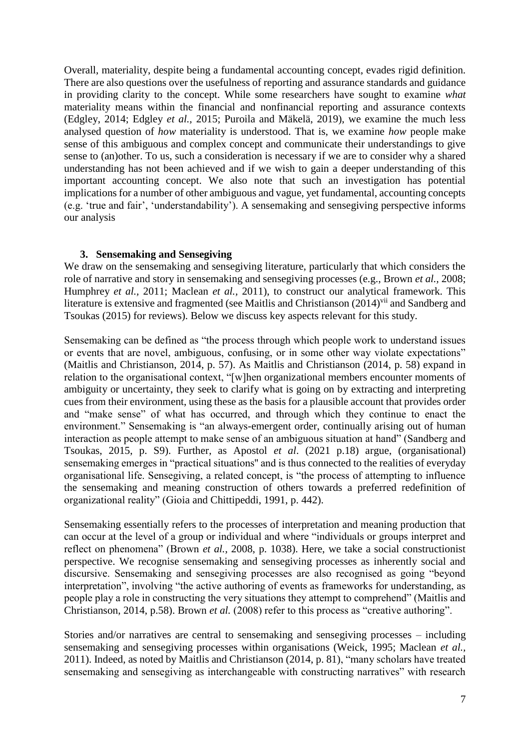Overall, materiality, despite being a fundamental accounting concept, evades rigid definition. There are also questions over the usefulness of reporting and assurance standards and guidance in providing clarity to the concept. While some researchers have sought to examine *what* materiality means within the financial and nonfinancial reporting and assurance contexts (Edgley, 2014; Edgley *et al.,* 2015; Puroila and Mäkelä, 2019), we examine the much less analysed question of *how* materiality is understood. That is, we examine *how* people make sense of this ambiguous and complex concept and communicate their understandings to give sense to (an)other. To us, such a consideration is necessary if we are to consider why a shared understanding has not been achieved and if we wish to gain a deeper understanding of this important accounting concept. We also note that such an investigation has potential implications for a number of other ambiguous and vague, yet fundamental, accounting concepts (e.g. 'true and fair', 'understandability'). A sensemaking and sensegiving perspective informs our analysis

# **3. Sensemaking and Sensegiving**

We draw on the sensemaking and sensegiving literature, particularly that which considers the role of narrative and story in sensemaking and sensegiving processes (e.g., Brown *et al.,* 2008; Humphrey *et al.,* 2011; Maclean *et al.,* 2011), to construct our analytical framework. This literature is extensive and fragmented (see Maitlis and Christianson (2014)<sup>vii</sup> and Sandberg and Tsoukas (2015) for reviews). Below we discuss key aspects relevant for this study.

Sensemaking can be defined as "the process through which people work to understand issues or events that are novel, ambiguous, confusing, or in some other way violate expectations" (Maitlis and Christianson, 2014, p. 57). As Maitlis and Christianson (2014, p. 58) expand in relation to the organisational context, "[w]hen organizational members encounter moments of ambiguity or uncertainty, they seek to clarify what is going on by extracting and interpreting cues from their environment, using these as the basis for a plausible account that provides order and "make sense" of what has occurred, and through which they continue to enact the environment." Sensemaking is "an always-emergent order, continually arising out of human interaction as people attempt to make sense of an ambiguous situation at hand" (Sandberg and Tsoukas, 2015, p. S9). Further, as Apostol *et al*. (2021 p.18) argue, (organisational) sensemaking emerges in "practical situations'' and is thus connected to the realities of everyday organisational life. Sensegiving, a related concept, is "the process of attempting to influence the sensemaking and meaning construction of others towards a preferred redefinition of organizational reality" (Gioia and Chittipeddi, 1991, p. 442).

Sensemaking essentially refers to the processes of interpretation and meaning production that can occur at the level of a group or individual and where "individuals or groups interpret and reflect on phenomena" (Brown *et al.*, 2008, p. 1038). Here, we take a social constructionist perspective. We recognise sensemaking and sensegiving processes as inherently social and discursive. Sensemaking and sensegiving processes are also recognised as going "beyond interpretation", involving "the active authoring of events as frameworks for understanding, as people play a role in constructing the very situations they attempt to comprehend" (Maitlis and Christianson, 2014, p.58). Brown *et al.* (2008) refer to this process as "creative authoring".

Stories and/or narratives are central to sensemaking and sensegiving processes – including sensemaking and sensegiving processes within organisations (Weick, 1995; Maclean *et al.,* 2011). Indeed, as noted by Maitlis and Christianson (2014, p. 81), "many scholars have treated sensemaking and sensegiving as interchangeable with constructing narratives" with research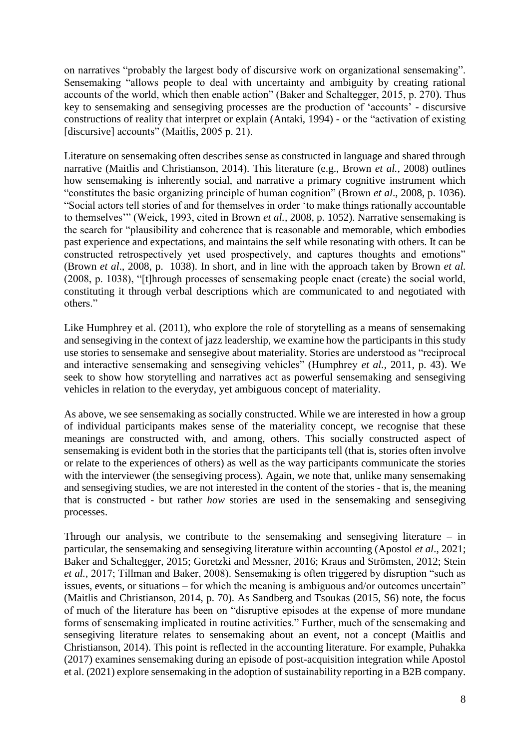on narratives "probably the largest body of discursive work on organizational sensemaking". Sensemaking "allows people to deal with uncertainty and ambiguity by creating rational accounts of the world, which then enable action" (Baker and Schaltegger, 2015, p. 270). Thus key to sensemaking and sensegiving processes are the production of 'accounts' - discursive constructions of reality that interpret or explain (Antaki, 1994) - or the "activation of existing [discursive] accounts" (Maitlis, 2005 p. 21).

Literature on sensemaking often describes sense as constructed in language and shared through narrative (Maitlis and Christianson, 2014). This literature (e.g., Brown *et al.*, 2008) outlines how sensemaking is inherently social, and narrative a primary cognitive instrument which "constitutes the basic organizing principle of human cognition" (Brown *et al*., 2008, p. 1036). "Social actors tell stories of and for themselves in order 'to make things rationally accountable to themselves'" (Weick, 1993, cited in Brown *et al.,* 2008, p. 1052). Narrative sensemaking is the search for "plausibility and coherence that is reasonable and memorable, which embodies past experience and expectations, and maintains the self while resonating with others. It can be constructed retrospectively yet used prospectively, and captures thoughts and emotions" (Brown *et al*., 2008, p. 1038). In short, and in line with the approach taken by Brown *et al.* (2008, p. 1038), "[t]hrough processes of sensemaking people enact (create) the social world, constituting it through verbal descriptions which are communicated to and negotiated with others."

Like Humphrey et al. (2011), who explore the role of storytelling as a means of sensemaking and sensegiving in the context of jazz leadership, we examine how the participants in this study use stories to sensemake and sensegive about materiality. Stories are understood as "reciprocal and interactive sensemaking and sensegiving vehicles" (Humphrey *et al.,* 2011, p. 43). We seek to show how storytelling and narratives act as powerful sensemaking and sensegiving vehicles in relation to the everyday, yet ambiguous concept of materiality.

As above, we see sensemaking as socially constructed. While we are interested in how a group of individual participants makes sense of the materiality concept, we recognise that these meanings are constructed with, and among, others. This socially constructed aspect of sensemaking is evident both in the stories that the participants tell (that is, stories often involve or relate to the experiences of others) as well as the way participants communicate the stories with the interviewer (the sensegiving process). Again, we note that, unlike many sensemaking and sensegiving studies, we are not interested in the content of the stories - that is, the meaning that is constructed - but rather *how* stories are used in the sensemaking and sensegiving processes.

Through our analysis, we contribute to the sensemaking and sensegiving literature – in particular, the sensemaking and sensegiving literature within accounting (Apostol *et al*., 2021; Baker and Schaltegger, 2015; Goretzki and Messner, 2016; Kraus and Strömsten, 2012; Stein *et al.,* 2017; Tillman and Baker, 2008). Sensemaking is often triggered by disruption "such as issues, events, or situations – for which the meaning is ambiguous and/or outcomes uncertain" (Maitlis and Christianson, 2014, p. 70). As Sandberg and Tsoukas (2015, S6) note, the focus of much of the literature has been on "disruptive episodes at the expense of more mundane forms of sensemaking implicated in routine activities." Further, much of the sensemaking and sensegiving literature relates to sensemaking about an event, not a concept (Maitlis and Christianson, 2014). This point is reflected in the accounting literature. For example, Puhakka (2017) examines sensemaking during an episode of post-acquisition integration while Apostol et al. (2021) explore sensemaking in the adoption of sustainability reporting in a B2B company.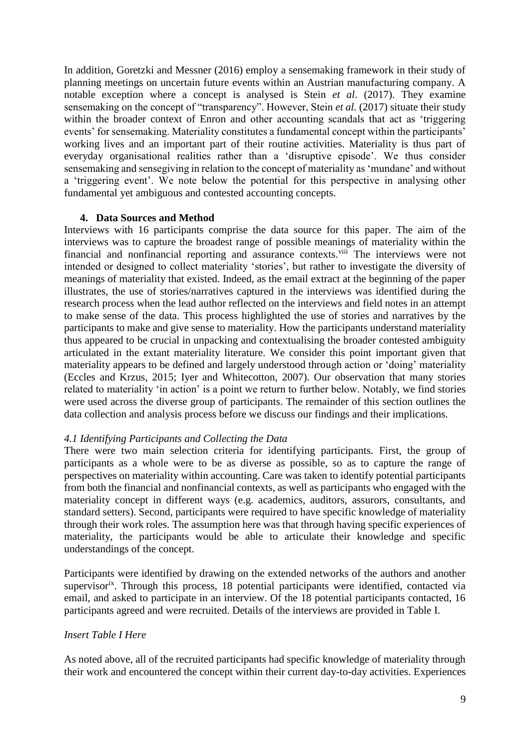In addition, Goretzki and Messner (2016) employ a sensemaking framework in their study of planning meetings on uncertain future events within an Austrian manufacturing company. A notable exception where a concept is analysed is Stein *et al*. (2017). They examine sensemaking on the concept of "transparency". However, Stein *et al.* (2017) situate their study within the broader context of Enron and other accounting scandals that act as 'triggering events' for sensemaking. Materiality constitutes a fundamental concept within the participants' working lives and an important part of their routine activities. Materiality is thus part of everyday organisational realities rather than a 'disruptive episode'. We thus consider sensemaking and sensegiving in relation to the concept of materiality as 'mundane' and without a 'triggering event'. We note below the potential for this perspective in analysing other fundamental yet ambiguous and contested accounting concepts.

#### **4. Data Sources and Method**

Interviews with 16 participants comprise the data source for this paper. The aim of the interviews was to capture the broadest range of possible meanings of materiality within the financial and nonfinancial reporting and assurance contexts.<sup>viii</sup> The interviews were not intended or designed to collect materiality 'stories', but rather to investigate the diversity of meanings of materiality that existed. Indeed, as the email extract at the beginning of the paper illustrates, the use of stories/narratives captured in the interviews was identified during the research process when the lead author reflected on the interviews and field notes in an attempt to make sense of the data. This process highlighted the use of stories and narratives by the participants to make and give sense to materiality. How the participants understand materiality thus appeared to be crucial in unpacking and contextualising the broader contested ambiguity articulated in the extant materiality literature. We consider this point important given that materiality appears to be defined and largely understood through action or 'doing' materiality (Eccles and Krzus, 2015; Iyer and Whitecotton, 2007). Our observation that many stories related to materiality 'in action' is a point we return to further below. Notably, we find stories were used across the diverse group of participants. The remainder of this section outlines the data collection and analysis process before we discuss our findings and their implications.

### *4.1 Identifying Participants and Collecting the Data*

There were two main selection criteria for identifying participants. First, the group of participants as a whole were to be as diverse as possible, so as to capture the range of perspectives on materiality within accounting. Care was taken to identify potential participants from both the financial and nonfinancial contexts, as well as participants who engaged with the materiality concept in different ways (e.g. academics, auditors, assurors, consultants, and standard setters). Second, participants were required to have specific knowledge of materiality through their work roles. The assumption here was that through having specific experiences of materiality, the participants would be able to articulate their knowledge and specific understandings of the concept.

Participants were identified by drawing on the extended networks of the authors and another supervisor<sup>ix</sup>. Through this process, 18 potential participants were identified, contacted via email, and asked to participate in an interview. Of the 18 potential participants contacted, 16 participants agreed and were recruited. Details of the interviews are provided in Table I.

### *Insert Table I Here*

As noted above, all of the recruited participants had specific knowledge of materiality through their work and encountered the concept within their current day-to-day activities. Experiences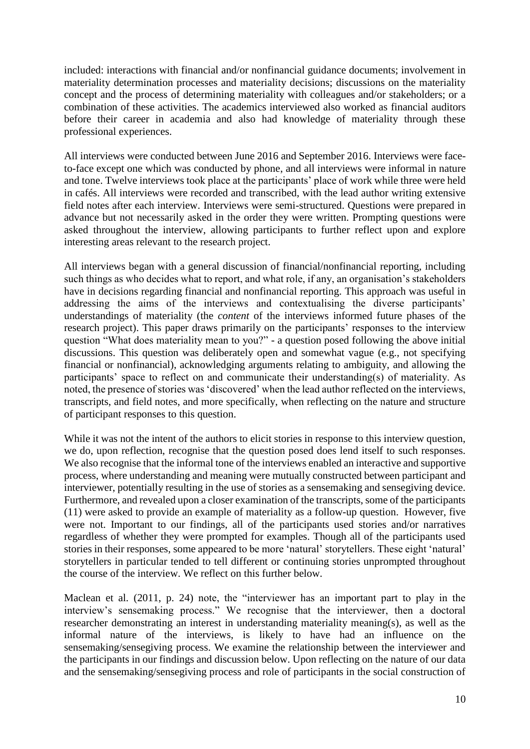included: interactions with financial and/or nonfinancial guidance documents; involvement in materiality determination processes and materiality decisions; discussions on the materiality concept and the process of determining materiality with colleagues and/or stakeholders; or a combination of these activities. The academics interviewed also worked as financial auditors before their career in academia and also had knowledge of materiality through these professional experiences.

All interviews were conducted between June 2016 and September 2016. Interviews were faceto-face except one which was conducted by phone, and all interviews were informal in nature and tone. Twelve interviews took place at the participants' place of work while three were held in cafés. All interviews were recorded and transcribed, with the lead author writing extensive field notes after each interview. Interviews were semi-structured. Questions were prepared in advance but not necessarily asked in the order they were written. Prompting questions were asked throughout the interview, allowing participants to further reflect upon and explore interesting areas relevant to the research project.

All interviews began with a general discussion of financial/nonfinancial reporting, including such things as who decides what to report, and what role, if any, an organisation's stakeholders have in decisions regarding financial and nonfinancial reporting. This approach was useful in addressing the aims of the interviews and contextualising the diverse participants' understandings of materiality (the *content* of the interviews informed future phases of the research project). This paper draws primarily on the participants' responses to the interview question "What does materiality mean to you?" - a question posed following the above initial discussions. This question was deliberately open and somewhat vague (e.g., not specifying financial or nonfinancial), acknowledging arguments relating to ambiguity, and allowing the participants' space to reflect on and communicate their understanding(s) of materiality. As noted, the presence of stories was 'discovered' when the lead author reflected on the interviews, transcripts, and field notes, and more specifically, when reflecting on the nature and structure of participant responses to this question.

While it was not the intent of the authors to elicit stories in response to this interview question, we do, upon reflection, recognise that the question posed does lend itself to such responses. We also recognise that the informal tone of the interviews enabled an interactive and supportive process, where understanding and meaning were mutually constructed between participant and interviewer, potentially resulting in the use of stories as a sensemaking and sensegiving device. Furthermore, and revealed upon a closer examination of the transcripts, some of the participants (11) were asked to provide an example of materiality as a follow-up question. However, five were not. Important to our findings, all of the participants used stories and/or narratives regardless of whether they were prompted for examples. Though all of the participants used stories in their responses, some appeared to be more 'natural' storytellers. These eight 'natural' storytellers in particular tended to tell different or continuing stories unprompted throughout the course of the interview. We reflect on this further below.

Maclean et al. (2011, p. 24) note, the "interviewer has an important part to play in the interview's sensemaking process." We recognise that the interviewer, then a doctoral researcher demonstrating an interest in understanding materiality meaning(s), as well as the informal nature of the interviews, is likely to have had an influence on the sensemaking/sensegiving process. We examine the relationship between the interviewer and the participants in our findings and discussion below. Upon reflecting on the nature of our data and the sensemaking/sensegiving process and role of participants in the social construction of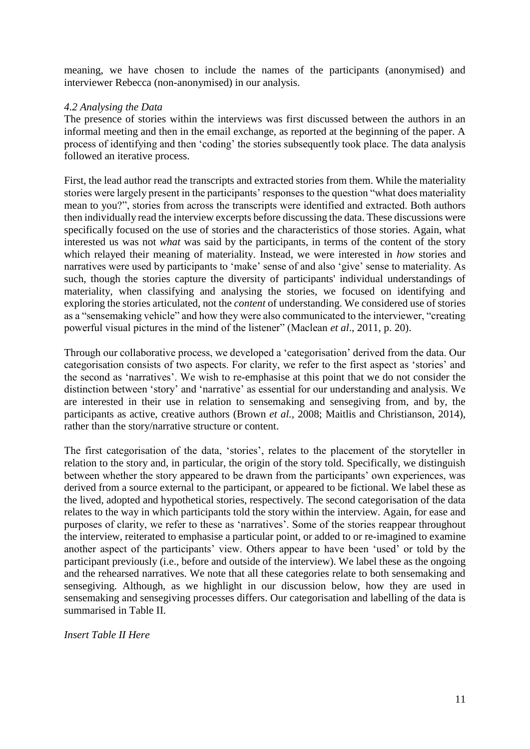meaning, we have chosen to include the names of the participants (anonymised) and interviewer Rebecca (non-anonymised) in our analysis.

# *4.2 Analysing the Data*

The presence of stories within the interviews was first discussed between the authors in an informal meeting and then in the email exchange, as reported at the beginning of the paper. A process of identifying and then 'coding' the stories subsequently took place. The data analysis followed an iterative process.

First, the lead author read the transcripts and extracted stories from them. While the materiality stories were largely present in the participants' responses to the question "what does materiality mean to you?", stories from across the transcripts were identified and extracted. Both authors then individually read the interview excerpts before discussing the data. These discussions were specifically focused on the use of stories and the characteristics of those stories. Again, what interested us was not *what* was said by the participants, in terms of the content of the story which relayed their meaning of materiality. Instead, we were interested in *how* stories and narratives were used by participants to 'make' sense of and also 'give' sense to materiality. As such, though the stories capture the diversity of participants' individual understandings of materiality, when classifying and analysing the stories, we focused on identifying and exploring the stories articulated, not the *content* of understanding. We considered use of stories as a "sensemaking vehicle" and how they were also communicated to the interviewer, "creating powerful visual pictures in the mind of the listener" (Maclean *et al*., 2011, p. 20).

Through our collaborative process, we developed a 'categorisation' derived from the data. Our categorisation consists of two aspects. For clarity, we refer to the first aspect as 'stories' and the second as 'narratives'. We wish to re-emphasise at this point that we do not consider the distinction between 'story' and 'narrative' as essential for our understanding and analysis. We are interested in their use in relation to sensemaking and sensegiving from, and by, the participants as active, creative authors (Brown *et al.,* 2008; Maitlis and Christianson, 2014), rather than the story/narrative structure or content.

The first categorisation of the data, 'stories', relates to the placement of the storyteller in relation to the story and, in particular, the origin of the story told. Specifically, we distinguish between whether the story appeared to be drawn from the participants' own experiences, was derived from a source external to the participant, or appeared to be fictional. We label these as the lived, adopted and hypothetical stories, respectively. The second categorisation of the data relates to the way in which participants told the story within the interview. Again, for ease and purposes of clarity, we refer to these as 'narratives'. Some of the stories reappear throughout the interview, reiterated to emphasise a particular point, or added to or re-imagined to examine another aspect of the participants' view. Others appear to have been 'used' or told by the participant previously (i.e., before and outside of the interview). We label these as the ongoing and the rehearsed narratives. We note that all these categories relate to both sensemaking and sensegiving. Although, as we highlight in our discussion below, how they are used in sensemaking and sensegiving processes differs. Our categorisation and labelling of the data is summarised in Table II.

*Insert Table II Here*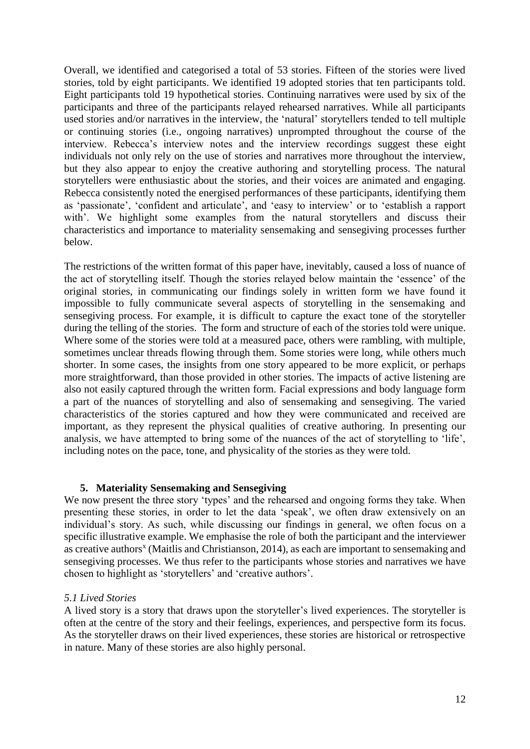Overall, we identified and categorised a total of 53 stories. Fifteen of the stories were lived stories, told by eight participants. We identified 19 adopted stories that ten participants told. Eight participants told 19 hypothetical stories. Continuing narratives were used by six of the participants and three of the participants relayed rehearsed narratives. While all participants used stories and/or narratives in the interview, the 'natural' storytellers tended to tell multiple or continuing stories (i.e., ongoing narratives) unprompted throughout the course of the interview. Rebecca's interview notes and the interview recordings suggest these eight individuals not only rely on the use of stories and narratives more throughout the interview, but they also appear to enjoy the creative authoring and storytelling process. The natural storytellers were enthusiastic about the stories, and their voices are animated and engaging. Rebecca consistently noted the energised performances of these participants, identifying them as 'passionate', 'confident and articulate', and 'easy to interview' or to 'establish a rapport with'. We highlight some examples from the natural storytellers and discuss their characteristics and importance to materiality sensemaking and sensegiving processes further below.

The restrictions of the written format of this paper have, inevitably, caused a loss of nuance of the act of storytelling itself. Though the stories relayed below maintain the 'essence' of the original stories, in communicating our findings solely in written form we have found it impossible to fully communicate several aspects of storytelling in the sensemaking and sensegiving process. For example, it is difficult to capture the exact tone of the storyteller during the telling of the stories. The form and structure of each of the stories told were unique. Where some of the stories were told at a measured pace, others were rambling, with multiple, sometimes unclear threads flowing through them. Some stories were long, while others much shorter. In some cases, the insights from one story appeared to be more explicit, or perhaps more straightforward, than those provided in other stories. The impacts of active listening are also not easily captured through the written form. Facial expressions and body language form a part of the nuances of storytelling and also of sensemaking and sensegiving. The varied characteristics of the stories captured and how they were communicated and received are important, as they represent the physical qualities of creative authoring. In presenting our analysis, we have attempted to bring some of the nuances of the act of storytelling to 'life', including notes on the pace, tone, and physicality of the stories as they were told.

### **5. Materiality Sensemaking and Sensegiving**

We now present the three story 'types' and the rehearsed and ongoing forms they take. When presenting these stories, in order to let the data 'speak', we often draw extensively on an individual's story. As such, while discussing our findings in general, we often focus on a specific illustrative example. We emphasise the role of both the participant and the interviewer as creative authors<sup>x</sup> (Maitlis and Christianson, 2014), as each are important to sensemaking and sensegiving processes. We thus refer to the participants whose stories and narratives we have chosen to highlight as 'storytellers' and 'creative authors'.

## *5.1 Lived Stories*

A lived story is a story that draws upon the storyteller's lived experiences. The storyteller is often at the centre of the story and their feelings, experiences, and perspective form its focus. As the storyteller draws on their lived experiences, these stories are historical or retrospective in nature. Many of these stories are also highly personal.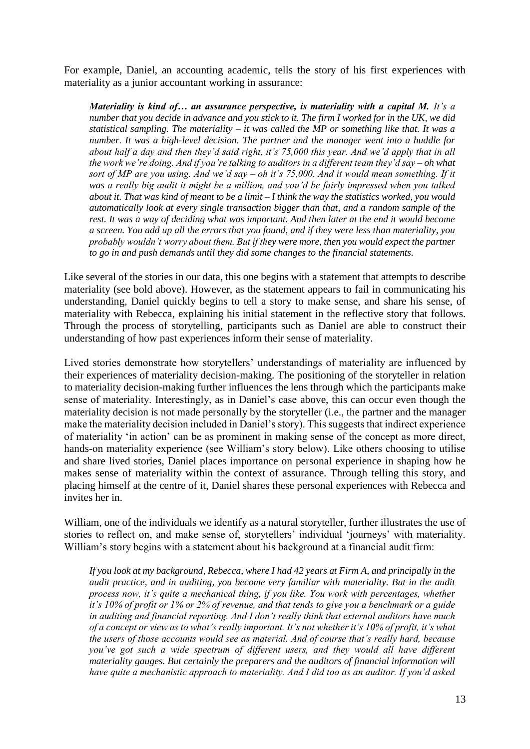For example, Daniel, an accounting academic, tells the story of his first experiences with materiality as a junior accountant working in assurance:

*Materiality is kind of… an assurance perspective, is materiality with a capital M. It's a number that you decide in advance and you stick to it. The firm I worked for in the UK, we did statistical sampling. The materiality – it was called the MP or something like that. It was a number. It was a high-level decision. The partner and the manager went into a huddle for about half a day and then they'd said right, it's 75,000 this year. And we'd apply that in all the work we're doing. And if you're talking to auditors in a different team they'd say – oh what sort of MP are you using. And we'd say – oh it's 75,000. And it would mean something. If it was a really big audit it might be a million, and you'd be fairly impressed when you talked about it. That was kind of meant to be a limit – I think the way the statistics worked, you would automatically look at every single transaction bigger than that, and a random sample of the rest. It was a way of deciding what was important. And then later at the end it would become a screen. You add up all the errors that you found, and if they were less than materiality, you probably wouldn't worry about them. But if they were more, then you would expect the partner to go in and push demands until they did some changes to the financial statements.* 

Like several of the stories in our data, this one begins with a statement that attempts to describe materiality (see bold above). However, as the statement appears to fail in communicating his understanding, Daniel quickly begins to tell a story to make sense, and share his sense, of materiality with Rebecca, explaining his initial statement in the reflective story that follows. Through the process of storytelling, participants such as Daniel are able to construct their understanding of how past experiences inform their sense of materiality.

Lived stories demonstrate how storytellers' understandings of materiality are influenced by their experiences of materiality decision-making. The positioning of the storyteller in relation to materiality decision-making further influences the lens through which the participants make sense of materiality. Interestingly, as in Daniel's case above, this can occur even though the materiality decision is not made personally by the storyteller (i.e., the partner and the manager make the materiality decision included in Daniel's story). This suggests that indirect experience of materiality 'in action' can be as prominent in making sense of the concept as more direct, hands-on materiality experience (see William's story below). Like others choosing to utilise and share lived stories, Daniel places importance on personal experience in shaping how he makes sense of materiality within the context of assurance. Through telling this story, and placing himself at the centre of it, Daniel shares these personal experiences with Rebecca and invites her in.

William, one of the individuals we identify as a natural storyteller, further illustrates the use of stories to reflect on, and make sense of, storytellers' individual 'journeys' with materiality. William's story begins with a statement about his background at a financial audit firm:

*If you look at my background, Rebecca, where I had 42 years at Firm A, and principally in the audit practice, and in auditing, you become very familiar with materiality. But in the audit process now, it's quite a mechanical thing, if you like. You work with percentages, whether it's 10% of profit or 1% or 2% of revenue, and that tends to give you a benchmark or a guide in auditing and financial reporting. And I don't really think that external auditors have much of a concept or view as to what's really important. It's not whether it's 10% of profit, it's what the users of those accounts would see as material. And of course that's really hard, because you've got such a wide spectrum of different users, and they would all have different materiality gauges. But certainly the preparers and the auditors of financial information will have quite a mechanistic approach to materiality. And I did too as an auditor. If you'd asked*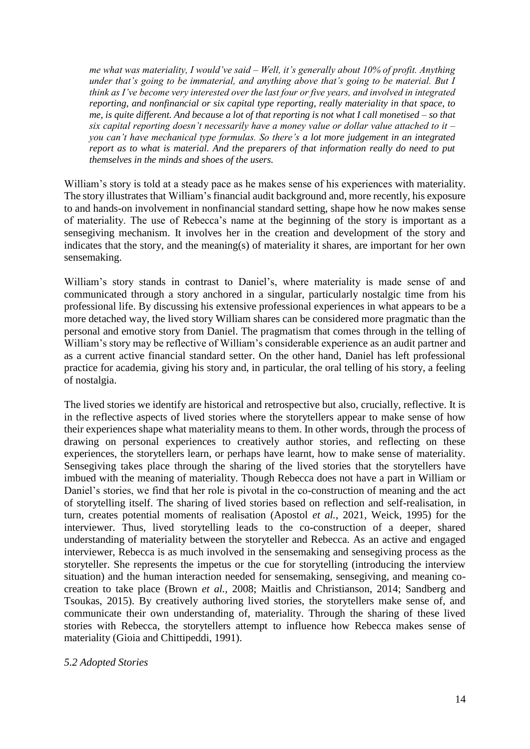*me what was materiality, I would've said – Well, it's generally about 10% of profit. Anything under that's going to be immaterial, and anything above that's going to be material. But I think as I've become very interested over the last four or five years, and involved in integrated reporting, and nonfinancial or six capital type reporting, really materiality in that space, to me, is quite different. And because a lot of that reporting is not what I call monetised – so that six capital reporting doesn't necessarily have a money value or dollar value attached to it – you can't have mechanical type formulas. So there's a lot more judgement in an integrated report as to what is material. And the preparers of that information really do need to put themselves in the minds and shoes of the users.* 

William's story is told at a steady pace as he makes sense of his experiences with materiality. The story illustrates that William's financial audit background and, more recently, his exposure to and hands-on involvement in nonfinancial standard setting, shape how he now makes sense of materiality. The use of Rebecca's name at the beginning of the story is important as a sensegiving mechanism. It involves her in the creation and development of the story and indicates that the story, and the meaning(s) of materiality it shares, are important for her own sensemaking.

William's story stands in contrast to Daniel's, where materiality is made sense of and communicated through a story anchored in a singular, particularly nostalgic time from his professional life. By discussing his extensive professional experiences in what appears to be a more detached way, the lived story William shares can be considered more pragmatic than the personal and emotive story from Daniel. The pragmatism that comes through in the telling of William's story may be reflective of William's considerable experience as an audit partner and as a current active financial standard setter. On the other hand, Daniel has left professional practice for academia, giving his story and, in particular, the oral telling of his story, a feeling of nostalgia.

The lived stories we identify are historical and retrospective but also, crucially, reflective. It is in the reflective aspects of lived stories where the storytellers appear to make sense of how their experiences shape what materiality means to them. In other words, through the process of drawing on personal experiences to creatively author stories, and reflecting on these experiences, the storytellers learn, or perhaps have learnt, how to make sense of materiality. Sensegiving takes place through the sharing of the lived stories that the storytellers have imbued with the meaning of materiality. Though Rebecca does not have a part in William or Daniel's stories, we find that her role is pivotal in the co-construction of meaning and the act of storytelling itself. The sharing of lived stories based on reflection and self-realisation, in turn, creates potential moments of realisation (Apostol *et al.*, 2021, Weick, 1995) for the interviewer. Thus, lived storytelling leads to the co-construction of a deeper, shared understanding of materiality between the storyteller and Rebecca. As an active and engaged interviewer, Rebecca is as much involved in the sensemaking and sensegiving process as the storyteller. She represents the impetus or the cue for storytelling (introducing the interview situation) and the human interaction needed for sensemaking, sensegiving, and meaning cocreation to take place (Brown *et al.,* 2008; Maitlis and Christianson, 2014; Sandberg and Tsoukas, 2015). By creatively authoring lived stories, the storytellers make sense of, and communicate their own understanding of, materiality. Through the sharing of these lived stories with Rebecca, the storytellers attempt to influence how Rebecca makes sense of materiality (Gioia and Chittipeddi, 1991).

### *5.2 Adopted Stories*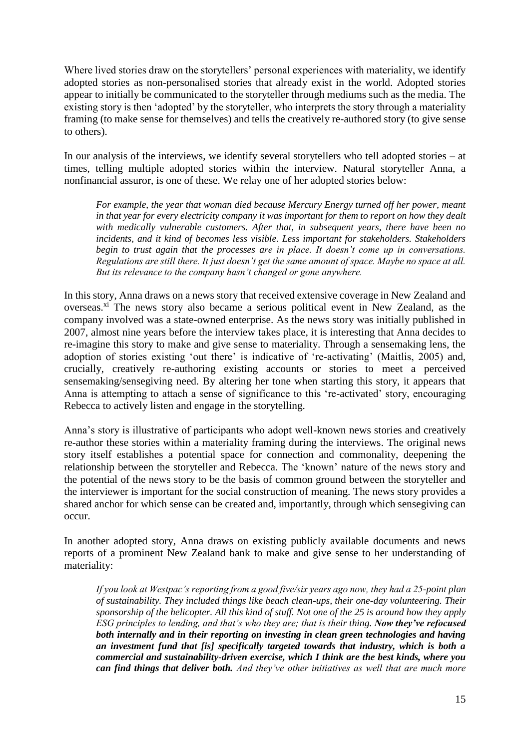Where lived stories draw on the storytellers' personal experiences with materiality, we identify adopted stories as non-personalised stories that already exist in the world. Adopted stories appear to initially be communicated to the storyteller through mediums such as the media. The existing story is then 'adopted' by the storyteller, who interprets the story through a materiality framing (to make sense for themselves) and tells the creatively re-authored story (to give sense to others).

In our analysis of the interviews, we identify several storytellers who tell adopted stories – at times, telling multiple adopted stories within the interview. Natural storyteller Anna, a nonfinancial assuror, is one of these. We relay one of her adopted stories below:

*For example, the year that woman died because Mercury Energy turned off her power, meant in that year for every electricity company it was important for them to report on how they dealt with medically vulnerable customers. After that, in subsequent years, there have been no incidents, and it kind of becomes less visible. Less important for stakeholders. Stakeholders begin to trust again that the processes are in place. It doesn't come up in conversations. Regulations are still there. It just doesn't get the same amount of space. Maybe no space at all. But its relevance to the company hasn't changed or gone anywhere.*

In this story, Anna draws on a news story that received extensive coverage in New Zealand and overseas.<sup>xi</sup> The news story also became a serious political event in New Zealand, as the company involved was a state-owned enterprise. As the news story was initially published in 2007, almost nine years before the interview takes place, it is interesting that Anna decides to re-imagine this story to make and give sense to materiality. Through a sensemaking lens, the adoption of stories existing 'out there' is indicative of 're-activating' (Maitlis, 2005) and, crucially, creatively re-authoring existing accounts or stories to meet a perceived sensemaking/sensegiving need. By altering her tone when starting this story, it appears that Anna is attempting to attach a sense of significance to this 're-activated' story, encouraging Rebecca to actively listen and engage in the storytelling.

Anna's story is illustrative of participants who adopt well-known news stories and creatively re-author these stories within a materiality framing during the interviews. The original news story itself establishes a potential space for connection and commonality, deepening the relationship between the storyteller and Rebecca. The 'known' nature of the news story and the potential of the news story to be the basis of common ground between the storyteller and the interviewer is important for the social construction of meaning. The news story provides a shared anchor for which sense can be created and, importantly, through which sensegiving can occur.

In another adopted story, Anna draws on existing publicly available documents and news reports of a prominent New Zealand bank to make and give sense to her understanding of materiality:

*If you look at Westpac's reporting from a good five/six years ago now, they had a 25-point plan of sustainability. They included things like beach clean-ups, their one-day volunteering. Their sponsorship of the helicopter. All this kind of stuff. Not one of the 25 is around how they apply ESG principles to lending, and that's who they are; that is their thing. Now they've refocused both internally and in their reporting on investing in clean green technologies and having an investment fund that [is] specifically targeted towards that industry, which is both a commercial and sustainability-driven exercise, which I think are the best kinds, where you can find things that deliver both. And they've other initiatives as well that are much more*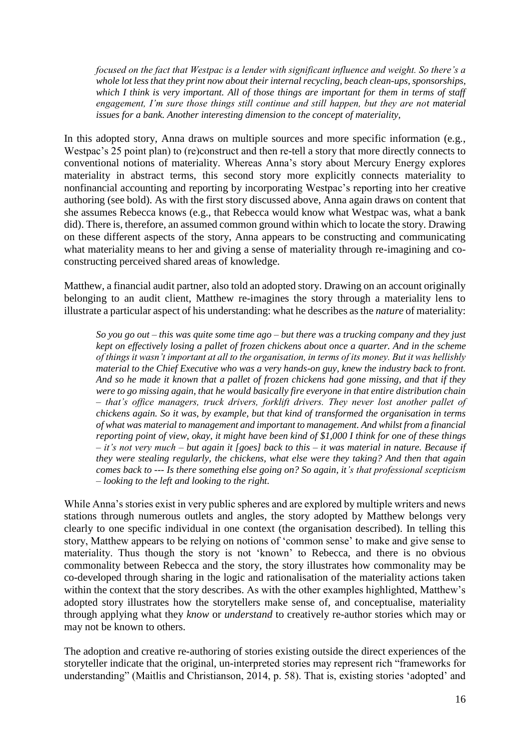*focused on the fact that Westpac is a lender with significant influence and weight. So there's a whole lot less that they print now about their internal recycling, beach clean-ups, sponsorships, which I think is very important. All of those things are important for them in terms of staff engagement, I'm sure those things still continue and still happen, but they are not material issues for a bank. Another interesting dimension to the concept of materiality,* 

In this adopted story, Anna draws on multiple sources and more specific information (e.g., Westpac's 25 point plan) to (re)construct and then re-tell a story that more directly connects to conventional notions of materiality. Whereas Anna's story about Mercury Energy explores materiality in abstract terms, this second story more explicitly connects materiality to nonfinancial accounting and reporting by incorporating Westpac's reporting into her creative authoring (see bold). As with the first story discussed above, Anna again draws on content that she assumes Rebecca knows (e.g., that Rebecca would know what Westpac was, what a bank did). There is, therefore, an assumed common ground within which to locate the story. Drawing on these different aspects of the story, Anna appears to be constructing and communicating what materiality means to her and giving a sense of materiality through re-imagining and coconstructing perceived shared areas of knowledge.

Matthew, a financial audit partner, also told an adopted story. Drawing on an account originally belonging to an audit client, Matthew re-imagines the story through a materiality lens to illustrate a particular aspect of his understanding: what he describes as the *nature* of materiality:

*So you go out – this was quite some time ago – but there was a trucking company and they just kept on effectively losing a pallet of frozen chickens about once a quarter. And in the scheme of things it wasn't important at all to the organisation, in terms of its money. But it was hellishly material to the Chief Executive who was a very hands-on guy, knew the industry back to front. And so he made it known that a pallet of frozen chickens had gone missing, and that if they were to go missing again, that he would basically fire everyone in that entire distribution chain – that's office managers, truck drivers, forklift drivers. They never lost another pallet of chickens again. So it was, by example, but that kind of transformed the organisation in terms of what was material to management and important to management. And whilst from a financial reporting point of view, okay, it might have been kind of \$1,000 I think for one of these things – it's not very much – but again it [goes] back to this – it was material in nature. Because if they were stealing regularly, the chickens, what else were they taking? And then that again comes back to --- Is there something else going on? So again, it's that professional scepticism – looking to the left and looking to the right.* 

While Anna's stories exist in very public spheres and are explored by multiple writers and news stations through numerous outlets and angles, the story adopted by Matthew belongs very clearly to one specific individual in one context (the organisation described). In telling this story, Matthew appears to be relying on notions of 'common sense' to make and give sense to materiality. Thus though the story is not 'known' to Rebecca, and there is no obvious commonality between Rebecca and the story, the story illustrates how commonality may be co-developed through sharing in the logic and rationalisation of the materiality actions taken within the context that the story describes. As with the other examples highlighted, Matthew's adopted story illustrates how the storytellers make sense of, and conceptualise, materiality through applying what they *know* or *understand* to creatively re-author stories which may or may not be known to others.

The adoption and creative re-authoring of stories existing outside the direct experiences of the storyteller indicate that the original, un-interpreted stories may represent rich "frameworks for understanding" (Maitlis and Christianson, 2014, p. 58). That is, existing stories 'adopted' and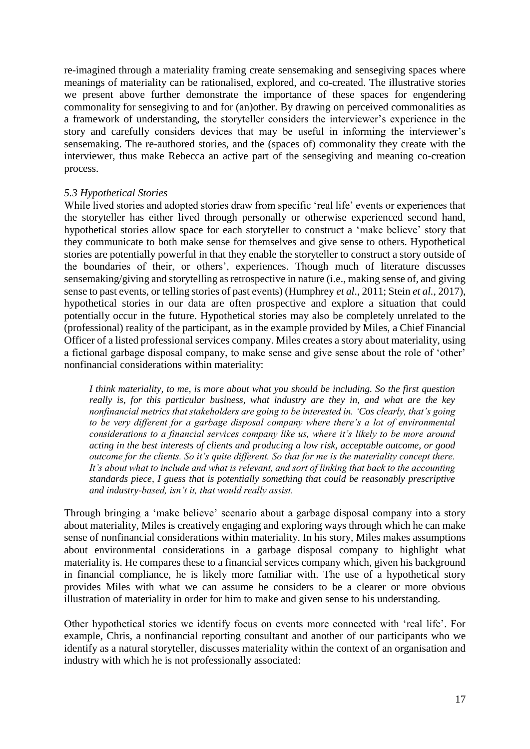re-imagined through a materiality framing create sensemaking and sensegiving spaces where meanings of materiality can be rationalised, explored, and co-created. The illustrative stories we present above further demonstrate the importance of these spaces for engendering commonality for sensegiving to and for (an)other. By drawing on perceived commonalities as a framework of understanding, the storyteller considers the interviewer's experience in the story and carefully considers devices that may be useful in informing the interviewer's sensemaking. The re-authored stories, and the (spaces of) commonality they create with the interviewer, thus make Rebecca an active part of the sensegiving and meaning co-creation process.

#### *5.3 Hypothetical Stories*

While lived stories and adopted stories draw from specific 'real life' events or experiences that the storyteller has either lived through personally or otherwise experienced second hand, hypothetical stories allow space for each storyteller to construct a 'make believe' story that they communicate to both make sense for themselves and give sense to others. Hypothetical stories are potentially powerful in that they enable the storyteller to construct a story outside of the boundaries of their, or others', experiences. Though much of literature discusses sensemaking/giving and storytelling as retrospective in nature (i.e., making sense of, and giving sense to past events, or telling stories of past events) (Humphrey *et al*., 2011; Stein *et al.,* 2017), hypothetical stories in our data are often prospective and explore a situation that could potentially occur in the future. Hypothetical stories may also be completely unrelated to the (professional) reality of the participant, as in the example provided by Miles, a Chief Financial Officer of a listed professional services company. Miles creates a story about materiality, using a fictional garbage disposal company, to make sense and give sense about the role of 'other' nonfinancial considerations within materiality:

*I think materiality, to me, is more about what you should be including. So the first question really is, for this particular business, what industry are they in, and what are the key nonfinancial metrics that stakeholders are going to be interested in. 'Cos clearly, that's going to be very different for a garbage disposal company where there's a lot of environmental considerations to a financial services company like us, where it's likely to be more around acting in the best interests of clients and producing a low risk, acceptable outcome, or good outcome for the clients. So it's quite different. So that for me is the materiality concept there. It's about what to include and what is relevant, and sort of linking that back to the accounting standards piece, I guess that is potentially something that could be reasonably prescriptive and industry-based, isn't it, that would really assist.*

Through bringing a 'make believe' scenario about a garbage disposal company into a story about materiality, Miles is creatively engaging and exploring ways through which he can make sense of nonfinancial considerations within materiality. In his story, Miles makes assumptions about environmental considerations in a garbage disposal company to highlight what materiality is. He compares these to a financial services company which, given his background in financial compliance, he is likely more familiar with. The use of a hypothetical story provides Miles with what we can assume he considers to be a clearer or more obvious illustration of materiality in order for him to make and given sense to his understanding.

Other hypothetical stories we identify focus on events more connected with 'real life'. For example, Chris, a nonfinancial reporting consultant and another of our participants who we identify as a natural storyteller, discusses materiality within the context of an organisation and industry with which he is not professionally associated: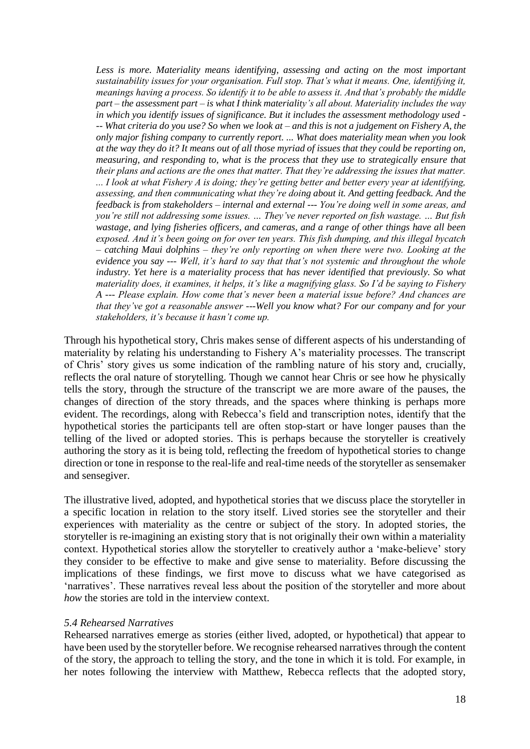Less is more. Materiality means identifying, assessing and acting on the most important *sustainability issues for your organisation. Full stop. That's what it means. One, identifying it, meanings having a process. So identify it to be able to assess it. And that's probably the middle part – the assessment part – is what I think materiality's all about. Materiality includes the way in which you identify issues of significance. But it includes the assessment methodology used - -- What criteria do you use? So when we look at – and this is not a judgement on Fishery A, the only major fishing company to currently report. ... What does materiality mean when you look at the way they do it? It means out of all those myriad of issues that they could be reporting on, measuring, and responding to, what is the process that they use to strategically ensure that their plans and actions are the ones that matter. That they're addressing the issues that matter. ... I look at what Fishery A is doing; they're getting better and better every year at identifying, assessing, and then communicating what they're doing about it. And getting feedback. And the feedback is from stakeholders – internal and external --- You're doing well in some areas, and you're still not addressing some issues. … They've never reported on fish wastage. … But fish wastage, and lying fisheries officers, and cameras, and a range of other things have all been exposed. And it's been going on for over ten years. This fish dumping, and this illegal bycatch – catching Maui dolphins – they're only reporting on when there were two. Looking at the evidence you say --- Well, it's hard to say that that's not systemic and throughout the whole industry. Yet here is a materiality process that has never identified that previously. So what materiality does, it examines, it helps, it's like a magnifying glass. So I'd be saying to Fishery A --- Please explain. How come that's never been a material issue before? And chances are that they've got a reasonable answer ---Well you know what? For our company and for your stakeholders, it's because it hasn't come up.* 

Through his hypothetical story, Chris makes sense of different aspects of his understanding of materiality by relating his understanding to Fishery A's materiality processes. The transcript of Chris' story gives us some indication of the rambling nature of his story and, crucially, reflects the oral nature of storytelling. Though we cannot hear Chris or see how he physically tells the story, through the structure of the transcript we are more aware of the pauses, the changes of direction of the story threads, and the spaces where thinking is perhaps more evident. The recordings, along with Rebecca's field and transcription notes, identify that the hypothetical stories the participants tell are often stop-start or have longer pauses than the telling of the lived or adopted stories. This is perhaps because the storyteller is creatively authoring the story as it is being told, reflecting the freedom of hypothetical stories to change direction or tone in response to the real-life and real-time needs of the storyteller as sensemaker and sensegiver.

The illustrative lived, adopted, and hypothetical stories that we discuss place the storyteller in a specific location in relation to the story itself. Lived stories see the storyteller and their experiences with materiality as the centre or subject of the story. In adopted stories, the storyteller is re-imagining an existing story that is not originally their own within a materiality context. Hypothetical stories allow the storyteller to creatively author a 'make-believe' story they consider to be effective to make and give sense to materiality. Before discussing the implications of these findings, we first move to discuss what we have categorised as 'narratives'. These narratives reveal less about the position of the storyteller and more about *how* the stories are told in the interview context.

#### *5.4 Rehearsed Narratives*

Rehearsed narratives emerge as stories (either lived, adopted, or hypothetical) that appear to have been used by the storyteller before. We recognise rehearsed narratives through the content of the story, the approach to telling the story, and the tone in which it is told. For example, in her notes following the interview with Matthew, Rebecca reflects that the adopted story,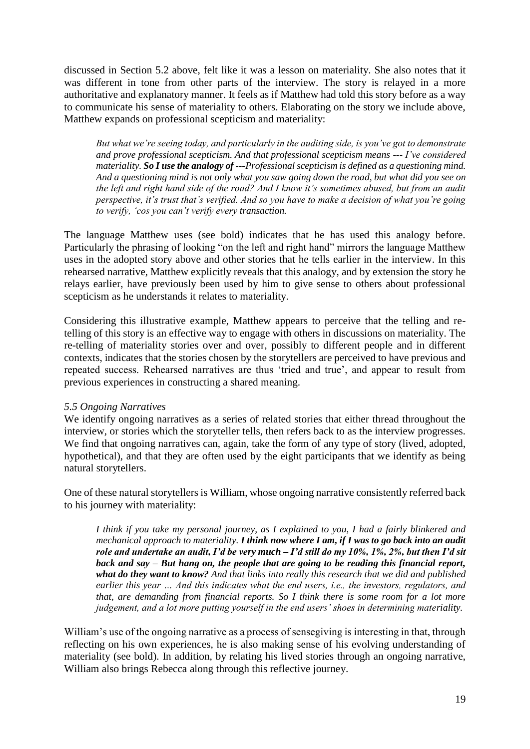discussed in Section 5.2 above, felt like it was a lesson on materiality. She also notes that it was different in tone from other parts of the interview. The story is relayed in a more authoritative and explanatory manner. It feels as if Matthew had told this story before as a way to communicate his sense of materiality to others. Elaborating on the story we include above, Matthew expands on professional scepticism and materiality:

*But what we're seeing today, and particularly in the auditing side, is you've got to demonstrate and prove professional scepticism. And that professional scepticism means --- I've considered materiality. So I use the analogy of ---Professional scepticism is defined as a questioning mind. And a questioning mind is not only what you saw going down the road, but what did you see on the left and right hand side of the road? And I know it's sometimes abused, but from an audit perspective, it's trust that's verified. And so you have to make a decision of what you're going to verify, 'cos you can't verify every transaction.* 

The language Matthew uses (see bold) indicates that he has used this analogy before. Particularly the phrasing of looking "on the left and right hand" mirrors the language Matthew uses in the adopted story above and other stories that he tells earlier in the interview. In this rehearsed narrative, Matthew explicitly reveals that this analogy, and by extension the story he relays earlier, have previously been used by him to give sense to others about professional scepticism as he understands it relates to materiality.

Considering this illustrative example, Matthew appears to perceive that the telling and retelling of this story is an effective way to engage with others in discussions on materiality. The re-telling of materiality stories over and over, possibly to different people and in different contexts, indicates that the stories chosen by the storytellers are perceived to have previous and repeated success. Rehearsed narratives are thus 'tried and true', and appear to result from previous experiences in constructing a shared meaning.

### *5.5 Ongoing Narratives*

We identify ongoing narratives as a series of related stories that either thread throughout the interview, or stories which the storyteller tells, then refers back to as the interview progresses. We find that ongoing narratives can, again, take the form of any type of story (lived, adopted, hypothetical), and that they are often used by the eight participants that we identify as being natural storytellers.

One of these natural storytellers is William, whose ongoing narrative consistently referred back to his journey with materiality:

*I think if you take my personal journey, as I explained to you, I had a fairly blinkered and mechanical approach to materiality. I think now where I am, if I was to go back into an audit role and undertake an audit, I'd be very much – I'd still do my 10%, 1%, 2%, but then I'd sit back and say – But hang on, the people that are going to be reading this financial report, what do they want to know? And that links into really this research that we did and published earlier this year … And this indicates what the end users, i.e., the investors, regulators, and that, are demanding from financial reports. So I think there is some room for a lot more judgement, and a lot more putting yourself in the end users' shoes in determining materiality.* 

William's use of the ongoing narrative as a process of sensegiving is interesting in that, through reflecting on his own experiences, he is also making sense of his evolving understanding of materiality (see bold). In addition, by relating his lived stories through an ongoing narrative, William also brings Rebecca along through this reflective journey.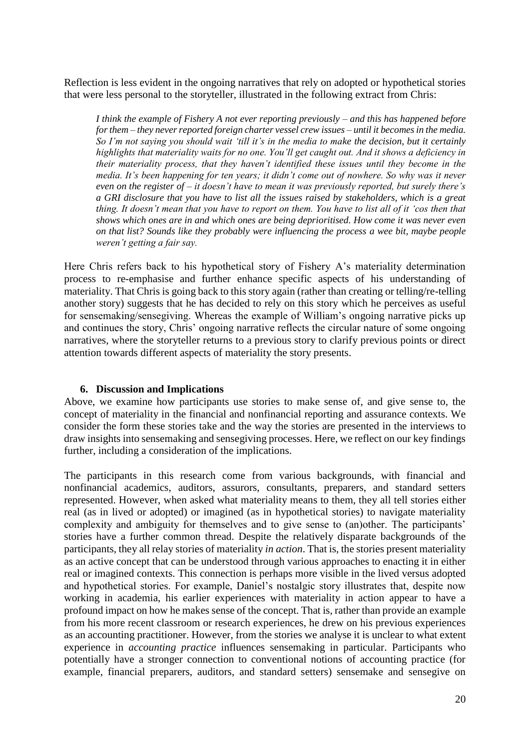Reflection is less evident in the ongoing narratives that rely on adopted or hypothetical stories that were less personal to the storyteller, illustrated in the following extract from Chris:

*I think the example of Fishery A not ever reporting previously – and this has happened before for them – they never reported foreign charter vessel crew issues – until it becomes in the media. So I'm not saying you should wait 'till it's in the media to make the decision, but it certainly highlights that materiality waits for no one. You'll get caught out. And it shows a deficiency in their materiality process, that they haven't identified these issues until they become in the media. It's been happening for ten years; it didn't come out of nowhere. So why was it never even on the register of – it doesn't have to mean it was previously reported, but surely there's a GRI disclosure that you have to list all the issues raised by stakeholders, which is a great thing. It doesn't mean that you have to report on them. You have to list all of it 'cos then that shows which ones are in and which ones are being deprioritised. How come it was never even on that list? Sounds like they probably were influencing the process a wee bit, maybe people weren't getting a fair say.* 

Here Chris refers back to his hypothetical story of Fishery A's materiality determination process to re-emphasise and further enhance specific aspects of his understanding of materiality. That Chris is going back to this story again (rather than creating or telling/re-telling another story) suggests that he has decided to rely on this story which he perceives as useful for sensemaking/sensegiving. Whereas the example of William's ongoing narrative picks up and continues the story, Chris' ongoing narrative reflects the circular nature of some ongoing narratives, where the storyteller returns to a previous story to clarify previous points or direct attention towards different aspects of materiality the story presents.

### **6. Discussion and Implications**

Above, we examine how participants use stories to make sense of, and give sense to, the concept of materiality in the financial and nonfinancial reporting and assurance contexts. We consider the form these stories take and the way the stories are presented in the interviews to draw insights into sensemaking and sensegiving processes. Here, we reflect on our key findings further, including a consideration of the implications.

The participants in this research come from various backgrounds, with financial and nonfinancial academics, auditors, assurors, consultants, preparers, and standard setters represented. However, when asked what materiality means to them, they all tell stories either real (as in lived or adopted) or imagined (as in hypothetical stories) to navigate materiality complexity and ambiguity for themselves and to give sense to (an)other. The participants' stories have a further common thread. Despite the relatively disparate backgrounds of the participants, they all relay stories of materiality *in action*. That is, the stories present materiality as an active concept that can be understood through various approaches to enacting it in either real or imagined contexts. This connection is perhaps more visible in the lived versus adopted and hypothetical stories. For example, Daniel's nostalgic story illustrates that, despite now working in academia, his earlier experiences with materiality in action appear to have a profound impact on how he makes sense of the concept. That is, rather than provide an example from his more recent classroom or research experiences, he drew on his previous experiences as an accounting practitioner. However, from the stories we analyse it is unclear to what extent experience in *accounting practice* influences sensemaking in particular. Participants who potentially have a stronger connection to conventional notions of accounting practice (for example, financial preparers, auditors, and standard setters) sensemake and sensegive on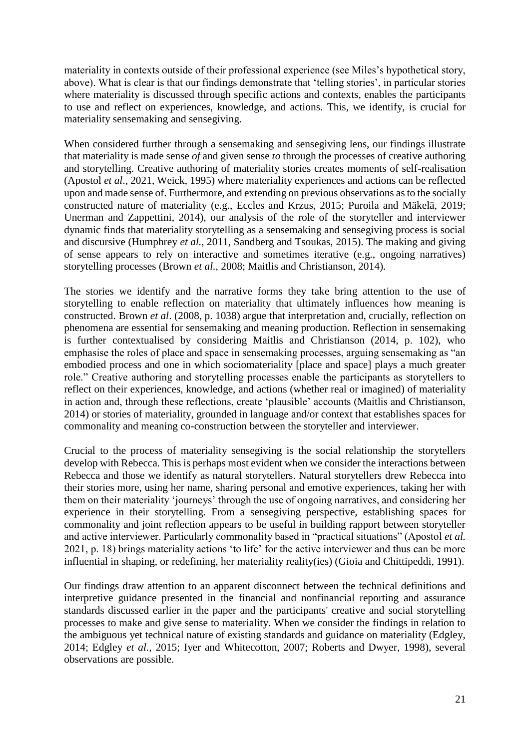materiality in contexts outside of their professional experience (see Miles's hypothetical story, above). What is clear is that our findings demonstrate that 'telling stories', in particular stories where materiality is discussed through specific actions and contexts, enables the participants to use and reflect on experiences, knowledge, and actions. This, we identify, is crucial for materiality sensemaking and sensegiving.

When considered further through a sensemaking and sensegiving lens, our findings illustrate that materiality is made sense *of* and given sense *to* through the processes of creative authoring and storytelling. Creative authoring of materiality stories creates moments of self-realisation (Apostol *et al*., 2021, Weick, 1995) where materiality experiences and actions can be reflected upon and made sense of. Furthermore, and extending on previous observations as to the socially constructed nature of materiality (e.g., Eccles and Krzus, 2015; Puroila and Mäkelä, 2019; Unerman and Zappettini, 2014), our analysis of the role of the storyteller and interviewer dynamic finds that materiality storytelling as a sensemaking and sensegiving process is social and discursive (Humphrey *et al.,* 2011, Sandberg and Tsoukas, 2015). The making and giving of sense appears to rely on interactive and sometimes iterative (e.g., ongoing narratives) storytelling processes (Brown *et al.,* 2008; Maitlis and Christianson, 2014).

The stories we identify and the narrative forms they take bring attention to the use of storytelling to enable reflection on materiality that ultimately influences how meaning is constructed. Brown *et al*. (2008, p. 1038) argue that interpretation and, crucially, reflection on phenomena are essential for sensemaking and meaning production. Reflection in sensemaking is further contextualised by considering Maitlis and Christianson (2014, p. 102), who emphasise the roles of place and space in sensemaking processes, arguing sensemaking as "an embodied process and one in which sociomateriality [place and space] plays a much greater role." Creative authoring and storytelling processes enable the participants as storytellers to reflect on their experiences, knowledge, and actions (whether real or imagined) of materiality in action and, through these reflections, create 'plausible' accounts (Maitlis and Christianson, 2014) or stories of materiality, grounded in language and/or context that establishes spaces for commonality and meaning co-construction between the storyteller and interviewer.

Crucial to the process of materiality sensegiving is the social relationship the storytellers develop with Rebecca. This is perhaps most evident when we consider the interactions between Rebecca and those we identify as natural storytellers. Natural storytellers drew Rebecca into their stories more, using her name, sharing personal and emotive experiences, taking her with them on their materiality 'journeys' through the use of ongoing narratives, and considering her experience in their storytelling. From a sensegiving perspective, establishing spaces for commonality and joint reflection appears to be useful in building rapport between storyteller and active interviewer. Particularly commonality based in "practical situations" (Apostol *et al.* 2021, p. 18) brings materiality actions 'to life' for the active interviewer and thus can be more influential in shaping, or redefining, her materiality reality(ies) (Gioia and Chittipeddi, 1991).

Our findings draw attention to an apparent disconnect between the technical definitions and interpretive guidance presented in the financial and nonfinancial reporting and assurance standards discussed earlier in the paper and the participants' creative and social storytelling processes to make and give sense to materiality. When we consider the findings in relation to the ambiguous yet technical nature of existing standards and guidance on materiality (Edgley, 2014; Edgley *et al.,* 2015; Iyer and Whitecotton, 2007; Roberts and Dwyer, 1998), several observations are possible.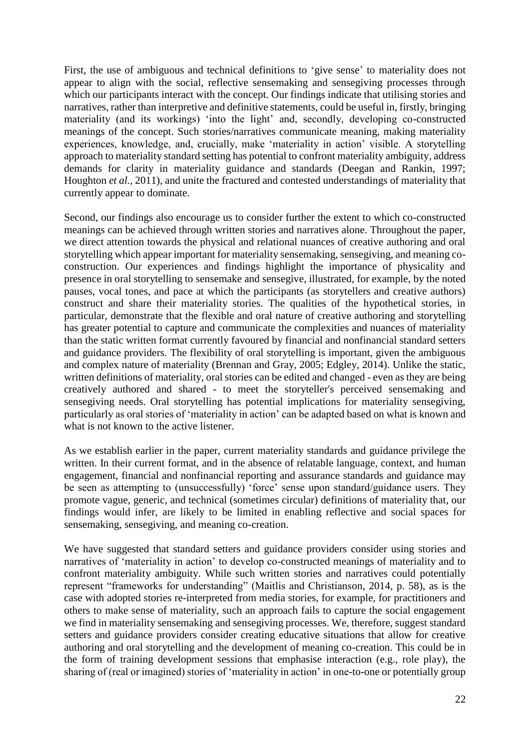First, the use of ambiguous and technical definitions to 'give sense' to materiality does not appear to align with the social, reflective sensemaking and sensegiving processes through which our participants interact with the concept. Our findings indicate that utilising stories and narratives, rather than interpretive and definitive statements, could be useful in, firstly, bringing materiality (and its workings) 'into the light' and, secondly, developing co-constructed meanings of the concept. Such stories/narratives communicate meaning, making materiality experiences, knowledge, and, crucially, make 'materiality in action' visible. A storytelling approach to materiality standard setting has potential to confront materiality ambiguity, address demands for clarity in materiality guidance and standards (Deegan and Rankin, 1997; Houghton *et al.,* 2011), and unite the fractured and contested understandings of materiality that currently appear to dominate.

Second, our findings also encourage us to consider further the extent to which co-constructed meanings can be achieved through written stories and narratives alone. Throughout the paper, we direct attention towards the physical and relational nuances of creative authoring and oral storytelling which appear important for materiality sensemaking, sensegiving, and meaning coconstruction. Our experiences and findings highlight the importance of physicality and presence in oral storytelling to sensemake and sensegive, illustrated, for example, by the noted pauses, vocal tones, and pace at which the participants (as storytellers and creative authors) construct and share their materiality stories. The qualities of the hypothetical stories, in particular, demonstrate that the flexible and oral nature of creative authoring and storytelling has greater potential to capture and communicate the complexities and nuances of materiality than the static written format currently favoured by financial and nonfinancial standard setters and guidance providers. The flexibility of oral storytelling is important, given the ambiguous and complex nature of materiality (Brennan and Gray, 2005; Edgley, 2014). Unlike the static, written definitions of materiality, oral stories can be edited and changed - even as they are being creatively authored and shared - to meet the storyteller's perceived sensemaking and sensegiving needs. Oral storytelling has potential implications for materiality sensegiving, particularly as oral stories of 'materiality in action' can be adapted based on what is known and what is not known to the active listener.

As we establish earlier in the paper, current materiality standards and guidance privilege the written. In their current format, and in the absence of relatable language, context, and human engagement, financial and nonfinancial reporting and assurance standards and guidance may be seen as attempting to (unsuccessfully) 'force' sense upon standard/guidance users. They promote vague, generic, and technical (sometimes circular) definitions of materiality that, our findings would infer, are likely to be limited in enabling reflective and social spaces for sensemaking, sensegiving, and meaning co-creation.

We have suggested that standard setters and guidance providers consider using stories and narratives of 'materiality in action' to develop co-constructed meanings of materiality and to confront materiality ambiguity. While such written stories and narratives could potentially represent "frameworks for understanding" (Maitlis and Christianson, 2014, p. 58), as is the case with adopted stories re-interpreted from media stories, for example, for practitioners and others to make sense of materiality, such an approach fails to capture the social engagement we find in materiality sensemaking and sensegiving processes. We, therefore, suggest standard setters and guidance providers consider creating educative situations that allow for creative authoring and oral storytelling and the development of meaning co-creation. This could be in the form of training development sessions that emphasise interaction (e.g., role play), the sharing of (real or imagined) stories of 'materiality in action' in one-to-one or potentially group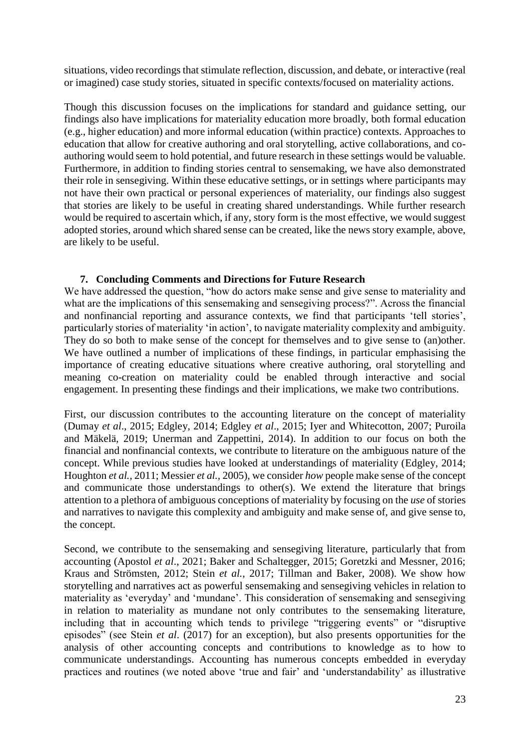situations, video recordings that stimulate reflection, discussion, and debate, or interactive (real or imagined) case study stories, situated in specific contexts/focused on materiality actions.

Though this discussion focuses on the implications for standard and guidance setting, our findings also have implications for materiality education more broadly, both formal education (e.g., higher education) and more informal education (within practice) contexts. Approaches to education that allow for creative authoring and oral storytelling, active collaborations, and coauthoring would seem to hold potential, and future research in these settings would be valuable. Furthermore, in addition to finding stories central to sensemaking, we have also demonstrated their role in sensegiving. Within these educative settings, or in settings where participants may not have their own practical or personal experiences of materiality, our findings also suggest that stories are likely to be useful in creating shared understandings. While further research would be required to ascertain which, if any, story form is the most effective, we would suggest adopted stories, around which shared sense can be created, like the news story example, above, are likely to be useful.

# **7. Concluding Comments and Directions for Future Research**

We have addressed the question, "how do actors make sense and give sense to materiality and what are the implications of this sensemaking and sensegiving process?". Across the financial and nonfinancial reporting and assurance contexts, we find that participants 'tell stories', particularly stories of materiality 'in action', to navigate materiality complexity and ambiguity. They do so both to make sense of the concept for themselves and to give sense to (an)other. We have outlined a number of implications of these findings, in particular emphasising the importance of creating educative situations where creative authoring, oral storytelling and meaning co-creation on materiality could be enabled through interactive and social engagement. In presenting these findings and their implications, we make two contributions.

First, our discussion contributes to the accounting literature on the concept of materiality (Dumay *et al*., 2015; Edgley, 2014; Edgley *et al*., 2015; Iyer and Whitecotton, 2007; Puroila and Mäkelä, 2019; Unerman and Zappettini, 2014). In addition to our focus on both the financial and nonfinancial contexts, we contribute to literature on the ambiguous nature of the concept. While previous studies have looked at understandings of materiality (Edgley, 2014; Houghton *et al.,* 2011; Messier *et al.,* 2005), we consider *how* people make sense of the concept and communicate those understandings to other(s). We extend the literature that brings attention to a plethora of ambiguous conceptions of materiality by focusing on the *use* of stories and narratives to navigate this complexity and ambiguity and make sense of, and give sense to, the concept.

Second, we contribute to the sensemaking and sensegiving literature, particularly that from accounting (Apostol *et al*., 2021; Baker and Schaltegger, 2015; Goretzki and Messner, 2016; Kraus and Strömsten, 2012; Stein *et al.*, 2017; Tillman and Baker, 2008). We show how storytelling and narratives act as powerful sensemaking and sensegiving vehicles in relation to materiality as 'everyday' and 'mundane'. This consideration of sensemaking and sensegiving in relation to materiality as mundane not only contributes to the sensemaking literature, including that in accounting which tends to privilege "triggering events" or "disruptive episodes" (see Stein *et al*. (2017) for an exception), but also presents opportunities for the analysis of other accounting concepts and contributions to knowledge as to how to communicate understandings. Accounting has numerous concepts embedded in everyday practices and routines (we noted above 'true and fair' and 'understandability' as illustrative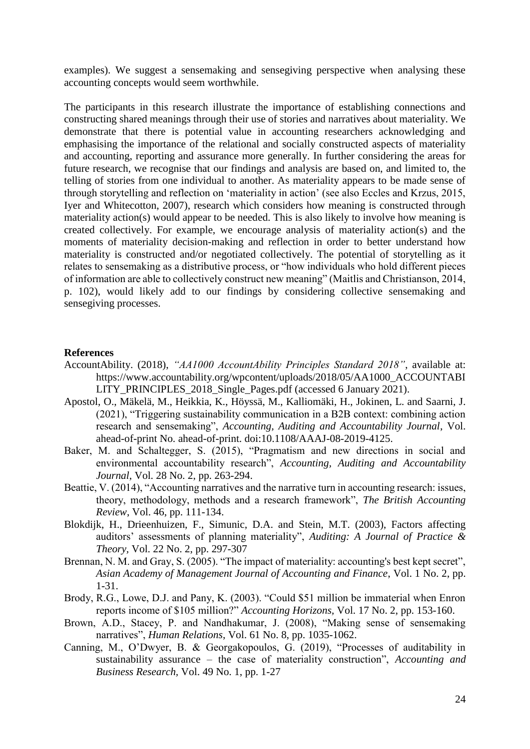examples). We suggest a sensemaking and sensegiving perspective when analysing these accounting concepts would seem worthwhile.

The participants in this research illustrate the importance of establishing connections and constructing shared meanings through their use of stories and narratives about materiality. We demonstrate that there is potential value in accounting researchers acknowledging and emphasising the importance of the relational and socially constructed aspects of materiality and accounting, reporting and assurance more generally. In further considering the areas for future research, we recognise that our findings and analysis are based on, and limited to, the telling of stories from one individual to another. As materiality appears to be made sense of through storytelling and reflection on 'materiality in action' (see also Eccles and Krzus, 2015, Iyer and Whitecotton, 2007), research which considers how meaning is constructed through materiality action(s) would appear to be needed. This is also likely to involve how meaning is created collectively. For example, we encourage analysis of materiality action(s) and the moments of materiality decision-making and reflection in order to better understand how materiality is constructed and/or negotiated collectively. The potential of storytelling as it relates to sensemaking as a distributive process, or "how individuals who hold different pieces of information are able to collectively construct new meaning" (Maitlis and Christianson, 2014, p. 102), would likely add to our findings by considering collective sensemaking and sensegiving processes.

#### **References**

- AccountAbility. (2018), *"AA1000 AccountAbility Principles Standard 2018"*, available at: https://www.accountability.org/wpcontent/uploads/2018/05/AA1000\_ACCOUNTABI LITY\_PRINCIPLES\_2018\_Single\_Pages.pdf (accessed 6 January 2021).
- Apostol, O., Mäkelä, M., Heikkia, K., Höyssä, M., Kalliomäki, H., Jokinen, L. and Saarni, J. (2021), "Triggering sustainability communication in a B2B context: combining action research and sensemaking", *Accounting, Auditing and Accountability Journal*, Vol. ahead-of-print No. ahead-of-print. doi:10.1108/AAAJ-08-2019-4125.
- Baker, M. and Schaltegger, S. (2015), "Pragmatism and new directions in social and environmental accountability research", *Accounting, Auditing and Accountability Journal*, Vol. 28 No. 2, pp. 263-294.
- Beattie, V. (2014), "Accounting narratives and the narrative turn in accounting research: issues, theory, methodology, methods and a research framework", *The British Accounting Review*, Vol. 46, pp. 111-134.
- Blokdijk, H., Drieenhuizen, F., Simunic, D.A. and Stein, M.T. (2003), Factors affecting auditors' assessments of planning materiality", *Auditing: A Journal of Practice & Theory,* Vol. 22 No. 2, pp. 297-307
- Brennan, N. M. and Gray, S. (2005). "The impact of materiality: accounting's best kept secret", *Asian Academy of Management Journal of Accounting and Finance*, Vol. 1 No. 2, pp. 1-31.
- Brody, R.G., Lowe, D.J. and Pany, K. (2003). "Could \$51 million be immaterial when Enron reports income of \$105 million?" *Accounting Horizons,* Vol. 17 No. 2, pp. 153-160.
- Brown, A.D., Stacey, P. and Nandhakumar, J. (2008), "Making sense of sensemaking narratives", *Human Relations*, Vol. 61 No. 8, pp. 1035-1062.
- Canning, M., O'Dwyer, B. & Georgakopoulos, G. (2019), "Processes of auditability in sustainability assurance – the case of materiality construction", *Accounting and Business Research,* Vol. 49 No. 1, pp. 1-27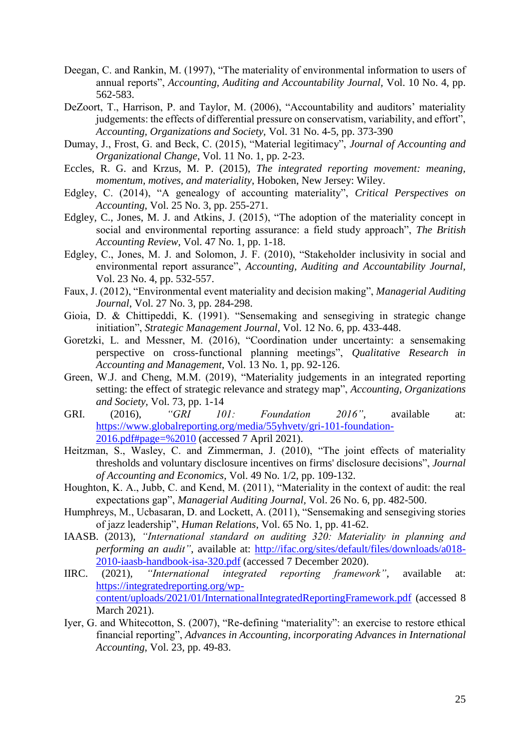- Deegan, C. and Rankin, M. (1997), "The materiality of environmental information to users of annual reports", *Accounting, Auditing and Accountability Journal,* Vol. 10 No. 4, pp. 562-583.
- DeZoort, T., Harrison, P. and Taylor, M. (2006), "Accountability and auditors' materiality judgements: the effects of differential pressure on conservatism, variability, and effort", *Accounting, Organizations and Society,* Vol. 31 No. 4-5, pp. 373-390
- Dumay, J., Frost, G. and Beck, C. (2015), "Material legitimacy", *Journal of Accounting and Organizational Change*, Vol. 11 No. 1, pp. 2-23.
- Eccles, R. G. and Krzus, M. P. (2015), *The integrated reporting movement: meaning, momentum, motives, and materiality*, Hoboken, New Jersey: Wiley.
- Edgley, C. (2014), "A genealogy of accounting materiality", *Critical Perspectives on Accounting*, Vol. 25 No. 3, pp. 255-271.
- Edgley, C., Jones, M. J. and Atkins, J. (2015), "The adoption of the materiality concept in social and environmental reporting assurance: a field study approach", *The British Accounting Review*, Vol. 47 No. 1, pp. 1-18.
- Edgley, C., Jones, M. J. and Solomon, J. F. (2010), "Stakeholder inclusivity in social and environmental report assurance", *Accounting, Auditing and Accountability Journal,* Vol. 23 No. 4, pp. 532-557.
- Faux, J. (2012), "Environmental event materiality and decision making", *Managerial Auditing Journal*, Vol. 27 No. 3, pp. 284-298.
- Gioia, D. & Chittipeddi, K. (1991). "Sensemaking and sensegiving in strategic change initiation", *Strategic Management Journal,* Vol. 12 No. 6, pp. 433-448.
- Goretzki, L. and Messner, M. (2016), "Coordination under uncertainty: a sensemaking perspective on cross-functional planning meetings", *Qualitative Research in Accounting and Management*, Vol. 13 No. 1, pp. 92-126.
- Green, W.J. and Cheng, M.M. (2019), "Materiality judgements in an integrated reporting setting: the effect of strategic relevance and strategy map", *Accounting, Organizations and Society,* Vol. 73, pp. 1-14
- GRI. (2016), *"GRI 101: Foundation 2016"*, available at: [https://www.globalreporting.org/media/55yhvety/gri-101-foundation-](https://www.globalreporting.org/media/55yhvety/gri-101-foundation-2016.pdf#page=%2010)[2016.pdf#page=%2010](https://www.globalreporting.org/media/55yhvety/gri-101-foundation-2016.pdf#page=%2010) (accessed 7 April 2021).
- Heitzman, S., Wasley, C. and Zimmerman, J. (2010), "The joint effects of materiality thresholds and voluntary disclosure incentives on firms' disclosure decisions", *Journal of Accounting and Economics*, Vol. 49 No. 1/2, pp. 109-132.
- Houghton, K. A., Jubb, C. and Kend, M. (2011), "Materiality in the context of audit: the real expectations gap", *Managerial Auditing Journal,* Vol. 26 No. 6, pp. 482-500.
- Humphreys, M., Ucbasaran, D. and Lockett, A. (2011), "Sensemaking and sensegiving stories of jazz leadership", *Human Relations*, Vol. 65 No. 1, pp. 41-62.
- IAASB. (2013), *"International standard on auditing 320: Materiality in planning and performing an audit"*, available at: [http://ifac.org/sites/default/files/downloads/a018-](http://ifac.org/sites/default/files/downloads/a018-2010-iaasb-handbook-isa-320.pdf) [2010-iaasb-handbook-isa-320.pdf](http://ifac.org/sites/default/files/downloads/a018-2010-iaasb-handbook-isa-320.pdf) (accessed 7 December 2020).
- IIRC. (2021), *"International integrated reporting framework"*, available at: [https://integratedreporting.org/wp](https://integratedreporting.org/wp-content/uploads/2021/01/InternationalIntegratedReportingFramework.pdf)[content/uploads/2021/01/InternationalIntegratedReportingFramework.pdf](https://integratedreporting.org/wp-content/uploads/2021/01/InternationalIntegratedReportingFramework.pdf) (accessed 8 March 2021).
- Iyer, G. and Whitecotton, S. (2007), "Re-defining "materiality": an exercise to restore ethical financial reporting", *Advances in Accounting, incorporating Advances in International Accounting*, Vol. 23, pp. 49-83.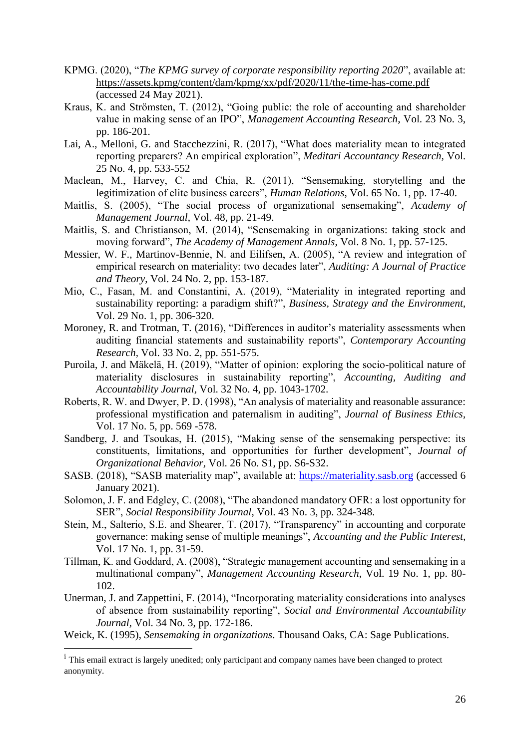- KPMG. (2020), "*The KPMG survey of corporate responsibility reporting 2020*", available at: <https://assets.kpmg/content/dam/kpmg/xx/pdf/2020/11/the-time-has-come.pdf> (accessed 24 May 2021).
- Kraus, K. and Strömsten, T. (2012), "Going public: the role of accounting and shareholder value in making sense of an IPO", *Management Accounting Research*, Vol. 23 No. 3, pp. 186-201.
- Lai, A., Melloni, G. and Stacchezzini, R. (2017), "What does materiality mean to integrated reporting preparers? An empirical exploration", *Meditari Accountancy Research,* Vol. 25 No. 4, pp. 533-552
- Maclean, M., Harvey, C. and Chia, R. (2011), "Sensemaking, storytelling and the legitimization of elite business careers", *Human Relations*, Vol. 65 No. 1, pp. 17-40.
- Maitlis, S. (2005), "The social process of organizational sensemaking", *Academy of Management Journal*, Vol. 48, pp. 21-49.
- Maitlis, S. and Christianson, M. (2014), "Sensemaking in organizations: taking stock and moving forward", *The Academy of Management Annals*, Vol. 8 No. 1, pp. 57-125.
- Messier, W. F., Martinov-Bennie, N. and Eilifsen, A. (2005), "A review and integration of empirical research on materiality: two decades later", *Auditing: A Journal of Practice and Theory*, Vol. 24 No. 2, pp. 153-187.
- Mio, C., Fasan, M. and Constantini, A. (2019), "Materiality in integrated reporting and sustainability reporting: a paradigm shift?", *Business, Strategy and the Environment,*  Vol. 29 No. 1, pp. 306-320.
- Moroney, R. and Trotman, T. (2016), "Differences in auditor's materiality assessments when auditing financial statements and sustainability reports", *Contemporary Accounting Research,* Vol. 33 No. 2, pp. 551-575.
- Puroila, J. and Mäkelä, H. (2019), "Matter of opinion: exploring the socio-political nature of materiality disclosures in sustainability reporting", *Accounting, Auditing and Accountability Journal,* Vol. 32 No. 4, pp. 1043-1702.
- Roberts, R. W. and Dwyer, P. D. (1998), "An analysis of materiality and reasonable assurance: professional mystification and paternalism in auditing", *Journal of Business Ethics,*  Vol. 17 No. 5, pp. 569 -578.
- Sandberg, J. and Tsoukas, H. (2015), "Making sense of the sensemaking perspective: its constituents, limitations, and opportunities for further development", *Journal of Organizational Behavior,* Vol. 26 No. S1, pp. S6-S32.
- SASB. (2018), "SASB materiality map", available at: [https://materiality.sasb.org](https://materiality.sasb.org/) (accessed 6 January 2021).
- Solomon, J. F. and Edgley, C. (2008), "The abandoned mandatory OFR: a lost opportunity for SER", *Social Responsibility Journal*, Vol. 43 No. 3, pp. 324-348.
- Stein, M., Salterio, S.E. and Shearer, T. (2017), "Transparency" in accounting and corporate governance: making sense of multiple meanings", *Accounting and the Public Interest*, Vol. 17 No. 1, pp. 31-59.
- Tillman, K. and Goddard, A. (2008), "Strategic management accounting and sensemaking in a multinational company", *Management Accounting Research*, Vol. 19 No. 1, pp. 80- 102.
- Unerman, J. and Zappettini, F. (2014), "Incorporating materiality considerations into analyses of absence from sustainability reporting", *Social and Environmental Accountability Journal,* Vol. 34 No. 3, pp. 172-186.

Weick, K. (1995), *Sensemaking in organizations*. Thousand Oaks, CA: Sage Publications.

1

<sup>&</sup>lt;sup>i</sup> This email extract is largely unedited; only participant and company names have been changed to protect anonymity.